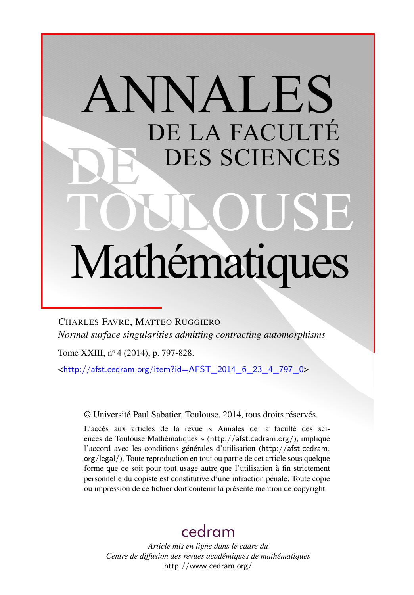# ANNALES DE LA FACULTÉ DES SCIENCES Mathématiques

CHARLES FAVRE, MATTEO RUGGIERO *Normal surface singularities admitting contracting automorphisms*

Tome XXIII, nº 4 (2014), p. 797-828.

 $\text{chttp:}/\text{/afst.cedram.org/item?id=AFST}$  2014 6 23 4 797 0>

© Université Paul Sabatier, Toulouse, 2014, tous droits réservés.

L'accès aux articles de la revue « Annales de la faculté des sciences de Toulouse Mathématiques » (<http://afst.cedram.org/>), implique l'accord avec les conditions générales d'utilisation ([http://afst.cedram.](http://afst.cedram.org/legal/) [org/legal/](http://afst.cedram.org/legal/)). Toute reproduction en tout ou partie de cet article sous quelque forme que ce soit pour tout usage autre que l'utilisation à fin strictement personnelle du copiste est constitutive d'une infraction pénale. Toute copie ou impression de ce fichier doit contenir la présente mention de copyright.

# [cedram](http://www.cedram.org/)

*Article mis en ligne dans le cadre du Centre de diffusion des revues académiques de mathématiques* <http://www.cedram.org/>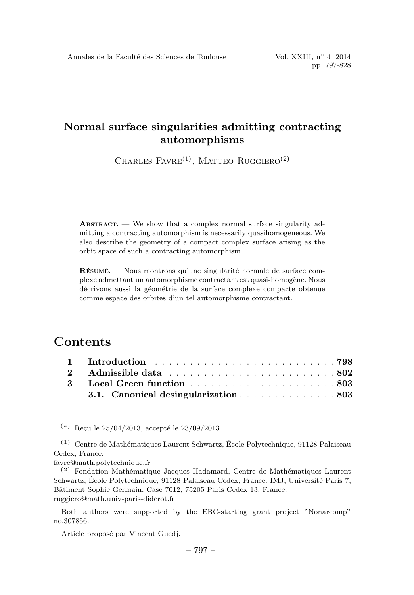CHARLES  $FAVRE^{(1)}$ , MATTEO RUGGIERO<sup>(2)</sup>

ABSTRACT. — We show that a complex normal surface singularity admitting a contracting automorphism is necessarily quasihomogeneous. We also describe the geometry of a compact complex surface arising as the orbit space of such a contracting automorphism.

 $R$ ÉSUMÉ. — Nous montrons qu'une singularité normale de surface complexe admettant un automorphisme contractant est quasi-homogène. Nous décrivons aussi la géométrie de la surface complexe compacte obtenue comme espace des orbites d'un tel automorphisme contractant.

## **Contents**

| 3.1. Canonical desingularization803 |
|-------------------------------------|

 $(*)$  Recu le 25/04/2013, accepté le 23/09/2013

favre@math.polytechnique.fr

Both authors were supported by the ERC-starting grant project "Nonarcomp" no.307856.

Article proposé par Vincent Guedj.

 $(1)$  Centre de Mathématiques Laurent Schwartz, École Polytechnique, 91128 Palaiseau Cedex, France.

 $(2)$  Fondation Mathématique Jacques Hadamard, Centre de Mathématiques Laurent Schwartz, École Polytechnique, 91128 Palaiseau Cedex, France. IMJ, Université Paris 7, Bâtiment Sophie Germain, Case 7012, 75205 Paris Cedex 13, France. ruggiero@math.univ-paris-diderot.fr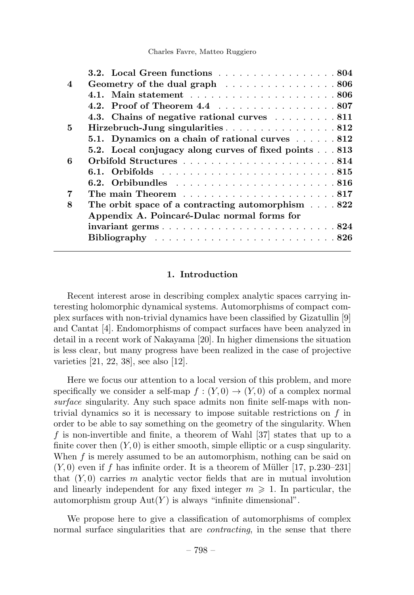|                         | <b>3.2.</b> Local Green functions 804                                             |
|-------------------------|-----------------------------------------------------------------------------------|
| $\overline{\mathbf{4}}$ | Geometry of the dual graph 806                                                    |
|                         |                                                                                   |
|                         |                                                                                   |
|                         | 4.3. Chains of negative rational curves 811                                       |
| 5                       | Hirzebruch-Jung singularities 812                                                 |
|                         | 5.1. Dynamics on a chain of rational curves 812                                   |
|                         | 5.2. Local conjugacy along curves of fixed points 813                             |
| 6                       |                                                                                   |
|                         |                                                                                   |
|                         |                                                                                   |
|                         |                                                                                   |
| 8                       | The orbit space of a contracting automorphism $\ldots$ 822                        |
|                         | Appendix A. Poincaré-Dulac normal forms for                                       |
|                         |                                                                                   |
|                         | Bibliography $\ldots \ldots \ldots \ldots \ldots \ldots \ldots \ldots \ldots 826$ |
|                         |                                                                                   |

#### 1. Introduction

Recent interest arose in describing complex analytic spaces carrying interesting holomorphic dynamical systems. Automorphisms of compact complex surfaces with non-trivial dynamics have been classified by Gizatullin [9] and Cantat [4]. Endomorphisms of compact surfaces have been analyzed in detail in a recent work of Nakayama [20]. In higher dimensions the situation is less clear, but many progress have been realized in the case of projective varieties [21, 22, 38], see also [12].

Here we focus our attention to a local version of this problem, and more specifically we consider a self-map  $f : (Y, 0) \to (Y, 0)$  of a complex normal surface singularity. Any such space admits non finite self-maps with nontrivial dynamics so it is necessary to impose suitable restrictions on  $f$  in order to be able to say something on the geometry of the singularity. When f is non-invertible and finite, a theorem of Wahl [37] states that up to a finite cover then  $(Y, 0)$  is either smooth, simple elliptic or a cusp singularity. When f is merely assumed to be an automorphism, nothing can be said on  $(Y, 0)$  even if f has infinite order. It is a theorem of Müller [17, p.230–231] that  $(Y, 0)$  carries m analytic vector fields that are in mutual involution and linearly independent for any fixed integer  $m \geqslant 1$ . In particular, the automorphism group  $Aut(Y)$  is always "infinite dimensional".

We propose here to give a classification of automorphisms of complex normal surface singularities that are *contracting*, in the sense that there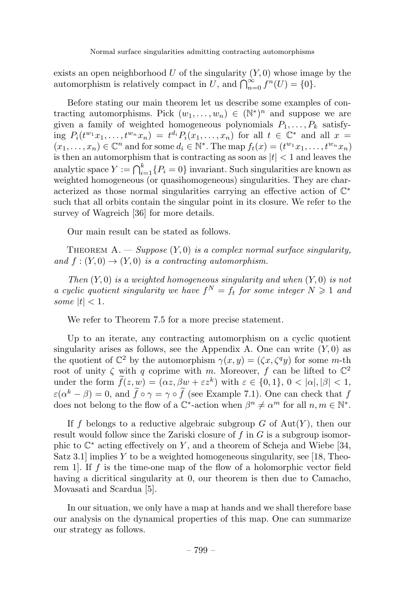exists an open neighborhood U of the singularity  $(Y, 0)$  whose image by the automorphism is relatively compact in U, and  $\bigcap_{n=0}^{\infty} f^n(U) = \{0\}.$ 

Before stating our main theorem let us describe some examples of contracting automorphisms. Pick  $(w_1,\ldots,w_n) \in (\mathbb{N}^*)^n$  and suppose we are given a family of weighted homogeneous polynomials  $P_1, \ldots, P_k$  satisfying  $P_i(t^{w_1}x_1,\ldots,t^{w_n}x_n) = t^{d_i}P_i(x_1,\ldots,x_n)$  for all  $t \in \mathbb{C}^*$  and all  $x =$  $(x_1,...,x_n) \in \mathbb{C}^n$  and for some  $d_i \in \mathbb{N}^*$ . The map  $f_t(x) = (t^{w_1}x_1,...,t^{w_n}x_n)$ is then an automorphism that is contracting as soon as  $|t| < 1$  and leaves the analytic space  $Y := \bigcap_{i=1}^k \{P_i = 0\}$  invariant. Such singularities are known as weighted homogeneous (or quasihomogeneous) singularities. They are characterized as those normal singularities carrying an effective action of C<sup>∗</sup> such that all orbits contain the singular point in its closure. We refer to the survey of Wagreich [36] for more details.

Our main result can be stated as follows.

THEOREM A. — Suppose  $(Y, 0)$  is a complex normal surface singularity, and  $f:(Y,0) \to (Y,0)$  is a contracting automorphism.

Then  $(Y, 0)$  is a weighted homogeneous singularity and when  $(Y, 0)$  is not a cyclic quotient singularity we have  $f^N = f_t$  for some integer  $N \geq 1$  and some  $|t| < 1$ .

We refer to Theorem 7.5 for a more precise statement.

Up to an iterate, any contracting automorphism on a cyclic quotient singularity arises as follows, see the Appendix A. One can write  $(Y, 0)$  as the quotient of  $\mathbb{C}^2$  by the automorphism  $\gamma(x, y) = (\zeta x, \zeta^q y)$  for some m-th root of unity  $\zeta$  with q coprime with m. Moreover, f can be lifted to  $\mathbb{C}^2$ under the form  $\hat{f}(z, w) = (\alpha z, \beta w + \varepsilon z^k)$  with  $\varepsilon \in \{0, 1\}, 0 < |\alpha|, |\beta| < 1$ ,  $\varepsilon(\alpha^k - \beta) = 0$ , and  $f \circ \gamma = \gamma \circ f$  (see Example 7.1). One can check that f does not belong to the flow of a  $\mathbb{C}^*$ -action when  $\beta^n \neq \alpha^m$  for all  $n, m \in \mathbb{N}^*$ .

If f belongs to a reductive algebraic subgroup  $G$  of  $Aut(Y)$ , then our result would follow since the Zariski closure of  $f$  in  $G$  is a subgroup isomorphic to  $\mathbb{C}^*$  acting effectively on Y, and a theorem of Scheja and Wiebe [34, Satz 3.1 implies Y to be a weighted homogeneous singularity, see  $[18,$  Theorem 1. If f is the time-one map of the flow of a holomorphic vector field having a dicritical singularity at 0, our theorem is then due to Camacho, Movasati and Scardua [5].

In our situation, we only have a map at hands and we shall therefore base our analysis on the dynamical properties of this map. One can summarize our strategy as follows.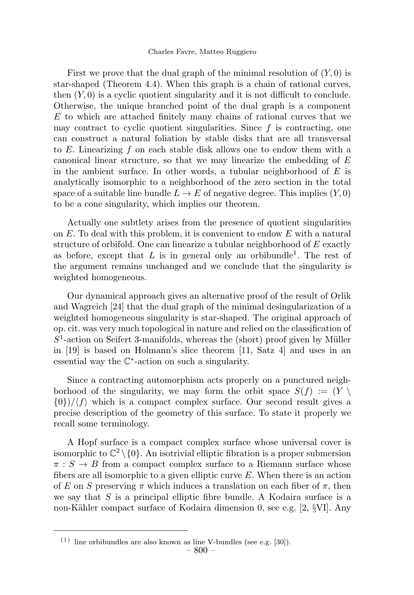First we prove that the dual graph of the minimal resolution of  $(Y, 0)$  is star-shaped (Theorem 4.4). When this graph is a chain of rational curves, then  $(Y, 0)$  is a cyclic quotient singularity and it is not difficult to conclude. Otherwise, the unique branched point of the dual graph is a component  $E$  to which are attached finitely many chains of rational curves that we may contract to cyclic quotient singularities. Since  $f$  is contracting, one can construct a natural foliation by stable disks that are all transversal to  $E$ . Linearizing  $f$  on each stable disk allows one to endow them with a canonical linear structure, so that we may linearize the embedding of  $E$ in the ambient surface. In other words, a tubular neighborhood of  $E$  is analytically isomorphic to a neighborhood of the zero section in the total space of a suitable line bundle  $L \to E$  of negative degree. This implies  $(Y, 0)$ to be a cone singularity, which implies our theorem.

Actually one subtlety arises from the presence of quotient singularities on  $E$ . To deal with this problem, it is convenient to endow  $E$  with a natural structure of orbifold. One can linearize a tubular neighborhood of  $E$  exactly as before, except that L is in general only an orbibundle<sup>1</sup>. The rest of the argument remains unchanged and we conclude that the singularity is weighted homogeneous.

Our dynamical approach gives an alternative proof of the result of Orlik and Wagreich [24] that the dual graph of the minimal desingularization of a weighted homogeneous singularity is star-shaped. The original approach of op. cit. was very much topological in nature and relied on the classification of  $S<sup>1</sup>$ -action on Seifert 3-manifolds, whereas the (short) proof given by Müller in [19] is based on Holmann's slice theorem [11, Satz 4] and uses in an essential way the C∗-action on such a singularity.

Since a contracting automorphism acts properly on a punctured neighborhood of the singularity, we may form the orbit space  $S(f) := (Y \setminus$  $\{0\}/\langle f \rangle$  which is a compact complex surface. Our second result gives a precise description of the geometry of this surface. To state it properly we recall some terminology.

A Hopf surface is a compact complex surface whose universal cover is isomorphic to  $\mathbb{C}^2 \setminus \{0\}$ . An isotrivial elliptic fibration is a proper submersion  $\pi : S \to B$  from a compact complex surface to a Riemann surface whose fibers are all isomorphic to a given elliptic curve  $E$ . When there is an action of E on S preserving  $\pi$  which induces a translation on each fiber of  $\pi$ , then we say that  $S$  is a principal elliptic fibre bundle. A Kodaira surface is a non-Kähler compact surface of Kodaira dimension 0, see e.g. [2, §VI]. Any

 $(1)$  line orbibundles are also known as line V-bundles (see e.g. [30]).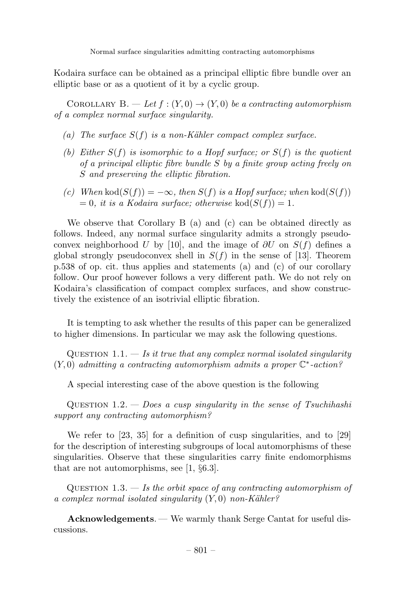Kodaira surface can be obtained as a principal elliptic fibre bundle over an elliptic base or as a quotient of it by a cyclic group.

COROLLARY B. — Let  $f:(Y,0) \rightarrow (Y,0)$  be a contracting automorphism of a complex normal surface singularity.

- (a) The surface  $S(f)$  is a non-Kähler compact complex surface.
- (b) Either  $S(f)$  is isomorphic to a Hopf surface; or  $S(f)$  is the quotient of a principal elliptic fibre bundle S by a finite group acting freely on S and preserving the elliptic fibration.
- (c) When kod( $S(f)$ ) =  $-\infty$ , then  $S(f)$  is a Hopf surface; when kod( $S(f)$ )  $= 0$ , it is a Kodaira surface; otherwise kod $(S(f)) = 1$ .

We observe that Corollary B (a) and (c) can be obtained directly as follows. Indeed, any normal surface singularity admits a strongly pseudoconvex neighborhood U by [10], and the image of  $\partial U$  on  $S(f)$  defines a global strongly pseudoconvex shell in  $S(f)$  in the sense of [13]. Theorem p.538 of op. cit. thus applies and statements (a) and (c) of our corollary follow. Our proof however follows a very different path. We do not rely on Kodaira's classification of compact complex surfaces, and show constructively the existence of an isotrivial elliptic fibration.

It is tempting to ask whether the results of this paper can be generalized to higher dimensions. In particular we may ask the following questions.

QUESTION 1.1.  $-$  Is it true that any complex normal isolated singularity  $(Y, 0)$  admitting a contracting automorphism admits a proper  $\mathbb{C}^*$ -action?

A special interesting case of the above question is the following

QUESTION  $1.2. - Does a cusp singularity in the sense of Tsuchihashi$ support any contracting automorphism?

We refer to [23, 35] for a definition of cusp singularities, and to [29] for the description of interesting subgroups of local automorphisms of these singularities. Observe that these singularities carry finite endomorphisms that are not automorphisms, see [1, §6.3].

QUESTION 1.3.  $-$  Is the orbit space of any contracting automorphism of a complex normal isolated singularity  $(Y, 0)$  non-Kähler?

Acknowledgements. — We warmly thank Serge Cantat for useful discussions.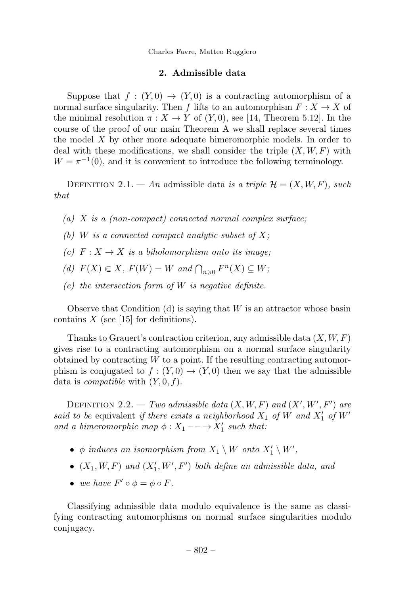Charles Favre, Matteo Ruggiero

#### 2. Admissible data

Suppose that  $f : (Y, 0) \to (Y, 0)$  is a contracting automorphism of a normal surface singularity. Then f lifts to an automorphism  $F: X \to X$  of the minimal resolution  $\pi : X \to Y$  of  $(Y, 0)$ , see [14, Theorem 5.12]. In the course of the proof of our main Theorem A we shall replace several times the model X by other more adequate bimeromorphic models. In order to deal with these modifications, we shall consider the triple  $(X, W, F)$  with  $W = \pi^{-1}(0)$ , and it is convenient to introduce the following terminology.

DEFINITION 2.1. — An admissible data is a triple  $\mathcal{H} = (X, W, F)$ , such that

- (a)  $X$  is a (non-compact) connected normal complex surface;
- (b) W is a connected compact analytic subset of  $X$ ;
- (c)  $F: X \to X$  is a biholomorphism onto its image;
- (d)  $F(X) \in X$ ,  $F(W) = W$  and  $\bigcap_{n \geq 0} F^n(X) \subseteq W$ ;
- (e) the intersection form of  $W$  is negative definite.

Observe that Condition  $(d)$  is saying that W is an attractor whose basin contains  $X$  (see [15] for definitions).

Thanks to Grauert's contraction criterion, any admissible data  $(X, W, F)$ gives rise to a contracting automorphism on a normal surface singularity obtained by contracting  $W$  to a point. If the resulting contracting automorphism is conjugated to  $f : (Y,0) \to (Y,0)$  then we say that the admissible data is *compatible* with  $(Y, 0, f)$ .

DEFINITION 2.2. — Two admissible data  $(X, W, F)$  and  $(X', W', F')$  are said to be equivalent if there exists a neighborhood  $X_1$  of W and  $X'_1$  of W' and a bimeromorphic map  $\phi: X_1 \longrightarrow X'_1$  such that:

- $\phi$  induces an isomorphism from  $X_1 \setminus W$  onto  $X'_1 \setminus W'$ ,
- $(X_1, W, F)$  and  $(X'_1, W', F')$  both define an admissible data, and
- we have  $F' \circ \phi = \phi \circ F$ .

Classifying admissible data modulo equivalence is the same as classifying contracting automorphisms on normal surface singularities modulo conjugacy.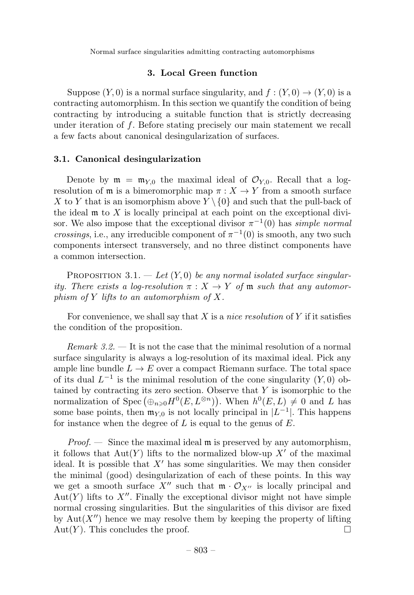#### 3. Local Green function

Suppose  $(Y, 0)$  is a normal surface singularity, and  $f: (Y, 0) \rightarrow (Y, 0)$  is a contracting automorphism. In this section we quantify the condition of being contracting by introducing a suitable function that is strictly decreasing under iteration of  $f$ . Before stating precisely our main statement we recall a few facts about canonical desingularization of surfaces.

#### 3.1. Canonical desingularization

Denote by  $\mathfrak{m} = \mathfrak{m}_{y_0}$  the maximal ideal of  $\mathcal{O}_{y_0}$ . Recall that a logresolution of  $\mathfrak m$  is a bimeromorphic map  $\pi : X \to Y$  from a smooth surface X to Y that is an isomorphism above  $Y \setminus \{0\}$  and such that the pull-back of the ideal  $\mathfrak m$  to X is locally principal at each point on the exceptional divisor. We also impose that the exceptional divisor  $\pi^{-1}(0)$  has simple normal crossings, i.e., any irreducible component of  $\pi^{-1}(0)$  is smooth, any two such components intersect transversely, and no three distinct components have a common intersection.

PROPOSITION 3.1. — Let  $(Y, 0)$  be any normal isolated surface singularity. There exists a log-resolution  $\pi : X \to Y$  of m such that any automorphism of  $Y$  lifts to an automorphism of  $X$ .

For convenience, we shall say that  $X$  is a nice resolution of  $Y$  if it satisfies the condition of the proposition.

*Remark 3.2.*  $\rightarrow$  It is not the case that the minimal resolution of a normal surface singularity is always a log-resolution of its maximal ideal. Pick any ample line bundle  $L \to E$  over a compact Riemann surface. The total space of its dual  $L^{-1}$  is the minimal resolution of the cone singularity  $(Y, 0)$  obtained by contracting its zero section. Observe that  $Y$  is isomorphic to the normalization of Spec  $(\bigoplus_{n\geq 0} H^0(E, L^{\otimes n})\big)$ . When  $h^0(E, L) \neq 0$  and L has some base points, then  $\mathfrak{m}_{Y,0}$  is not locally principal in  $|L^{-1}|$ . This happens for instance when the degree of  $L$  is equal to the genus of  $E$ .

*Proof.*  $\rightarrow$  Since the maximal ideal  $\mathfrak{m}$  is preserved by any automorphism, it follows that  $Aut(Y)$  lifts to the normalized blow-up  $X'$  of the maximal ideal. It is possible that  $X'$  has some singularities. We may then consider the minimal (good) desingularization of each of these points. In this way we get a smooth surface X'' such that  $\mathfrak{m} \cdot \mathcal{O}_{X''}$  is locally principal and  $Aut(Y)$  lifts to X''. Finally the exceptional divisor might not have simple normal crossing singularities. But the singularities of this divisor are fixed by  $Aut(X'')$  hence we may resolve them by keeping the property of lifting Aut $(Y)$ . This concludes the proof.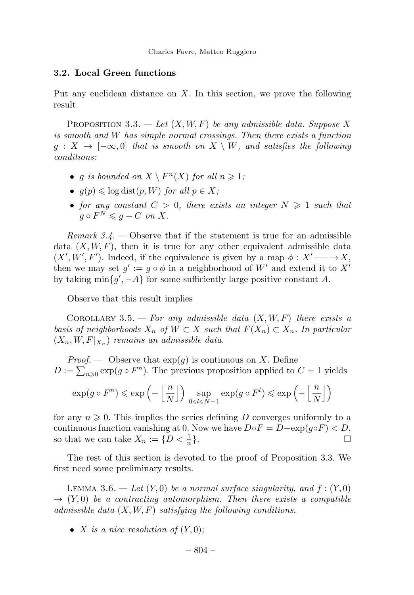#### 3.2. Local Green functions

Put any euclidean distance on  $X$ . In this section, we prove the following result.

PROPOSITION 3.3. — Let  $(X, W, F)$  be any admissible data. Suppose X is smooth and W has simple normal crossings. Then there exists a function  $g: X \to [-\infty, 0]$  that is smooth on  $X \setminus W$ , and satisfies the following conditions:

- *q is bounded on*  $X \setminus F^n(X)$  for all  $n \geq 1$ ;
- $q(p) \leq \log \text{dist}(p, W)$  for all  $p \in X$ ;
- for any constant  $C > 0$ , there exists an integer  $N \geq 1$  such that  $g \circ F^N \leqslant q - C$  on X.

Remark  $3.4.$  — Observe that if the statement is true for an admissible data  $(X, W, F)$ , then it is true for any other equivalent admissible data  $(X', W', F')$ . Indeed, if the equivalence is given by a map  $\phi : X' \longrightarrow X$ , then we may set  $g' := g \circ \phi$  in a neighborhood of W' and extend it to X' by taking  $\min\{g', -A\}$  for some sufficiently large positive constant A.

Observe that this result implies

COROLLARY 3.5. — For any admissible data  $(X, W, F)$  there exists a basis of neighborhoods  $X_n$  of  $W \subset X$  such that  $F(X_n) \subset X_n$ . In particular  $(X_n, W, F|_{X_n})$  remains an admissible data.

*Proof.* — Observe that  $exp(g)$  is continuous on X. Define  $D := \sum_{n\geq 0} \exp(g \circ F^n)$ . The previous proposition applied to  $C = 1$  yields

$$
\exp(g\circ F^n)\leqslant \exp\left(-\left\lfloor \frac{n}{N} \right\rfloor\right)\,\sup_{0\leqslant l\leqslant N-1}\exp(g\circ F^l)\leqslant \exp\left(-\left\lfloor \frac{n}{N} \right\rfloor\right)
$$

for any  $n \geqslant 0$ . This implies the series defining D converges uniformly to a continuous function vanishing at 0. Now we have  $D \circ F = D - \exp(g \circ F) < D$ ,<br>so that we can take  $X_n := \{D \lt \frac{1}{n}\}\$ so that we can take  $X_n := \{D < \frac{1}{n}\}.$  $\frac{1}{n}$ .

The rest of this section is devoted to the proof of Proposition 3.3. We first need some preliminary results.

LEMMA 3.6.  $-$  Let  $(Y, 0)$  be a normal surface singularity, and  $f : (Y, 0)$  $\rightarrow$  (Y,0) be a contracting automorphism. Then there exists a compatible admissible data  $(X, W, F)$  satisfying the following conditions.

• X is a nice resolution of  $(Y, 0)$ ;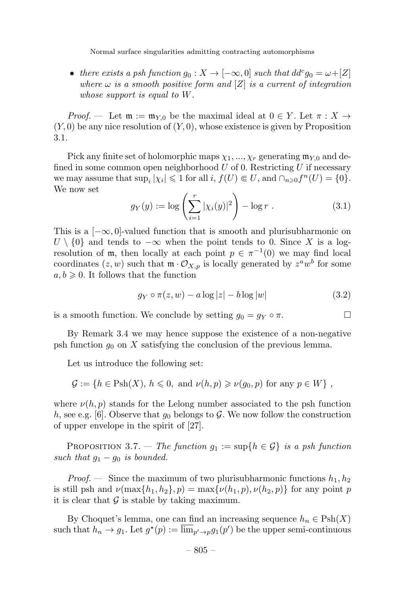• there exists a psh function  $g_0: X \to [-\infty, 0]$  such that  $dd^c g_0 = \omega + [Z]$ where  $\omega$  is a smooth positive form and  $[Z]$  is a current of integration whose support is equal to W.

*Proof.* — Let  $\mathfrak{m} := \mathfrak{m}_{Y,0}$  be the maximal ideal at  $0 \in Y$ . Let  $\pi : X \to Y$  $(Y, 0)$  be any nice resolution of  $(Y, 0)$ , whose existence is given by Proposition 3.1.

Pick any finite set of holomorphic maps  $\chi_1, ..., \chi_r$  generating  $\mathfrak{m}_{Y,0}$  and defined in some common open neighborhood  $U$  of 0. Restricting  $U$  if necessary we may assume that  $\sup_i |\chi_i| \leq 1$  for all  $i, f(U) \in U$ , and  $\cap_{n\geq 0} f^n(U) = \{0\}.$ We now set

$$
g_Y(y) := \log \left( \sum_{i=1}^r |\chi_i(y)|^2 \right) - \log r \ . \tag{3.1}
$$

This is a  $[-\infty, 0]$ -valued function that is smooth and plurisubharmonic on  $U \setminus \{0\}$  and tends to  $-\infty$  when the point tends to 0. Since X is a logresolution of m, then locally at each point  $p \in \pi^{-1}(0)$  we may find local coordinates  $(z, w)$  such that  $\mathfrak{m} \cdot \mathcal{O}_{X, p}$  is locally generated by  $z^a w^b$  for some  $a, b \geq 0$ . It follows that the function

$$
g_Y \circ \pi(z, w) - a \log|z| - b \log|w| \tag{3.2}
$$

is a smooth function. We conclude by setting  $g_0 = g_Y \circ \pi$ .

By Remark 3.4 we may hence suppose the existence of a non-negative psh function  $g_0$  on X satisfying the conclusion of the previous lemma.

Let us introduce the following set:

$$
\mathcal{G} := \{ h \in \text{Psh}(X), h \leq 0, \text{ and } \nu(h, p) \geqslant \nu(g_0, p) \text{ for any } p \in W \},
$$

where  $\nu(h, p)$  stands for the Lelong number associated to the psh function h, see e.g. [6]. Observe that  $g_0$  belongs to G. We now follow the construction of upper envelope in the spirit of [27].

PROPOSITION 3.7. — The function  $g_1 := \sup\{h \in \mathcal{G}\}\$ is a psh function such that  $g_1 - g_0$  is bounded.

*Proof.* — Since the maximum of two plurisubharmonic functions  $h_1, h_2$ is still psh and  $\nu(\max\{h_1, h_2\}, p) = \max\{\nu(h_1, p), \nu(h_2, p)\}\)$  for any point p it is clear that  $\mathcal G$  is stable by taking maximum.

By Choquet's lemma, one can find an increasing sequence  $h_n \in \mathrm{Psh}(X)$ such that  $h_n \to g_1$ . Let  $g^*(p) := \overline{\lim}_{p' \to p} g_1(p')$  be the upper semi-continuous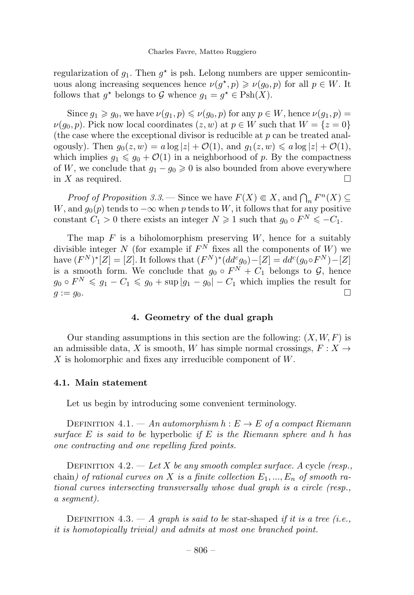regularization of  $q_1$ . Then  $q^*$  is psh. Lelong numbers are upper semicontinuous along increasing sequences hence  $\nu(q^*,p) \geqslant \nu(q_0,p)$  for all  $p \in W$ . It follows that  $g^*$  belongs to G whence  $g_1 = g^* \in \mathrm{Psh}(X)$ .

Since  $q_1 \geq q_0$ , we have  $\nu(q_1, p) \leq \nu(q_0, p)$  for any  $p \in W$ , hence  $\nu(q_1, p)$  $\nu(q_0, p)$ . Pick now local coordinates  $(z, w)$  at  $p \in W$  such that  $W = \{z = 0\}$ (the case where the exceptional divisor is reducible at  $p$  can be treated analogously). Then  $g_0(z, w) = a \log |z| + \mathcal{O}(1)$ , and  $g_1(z, w) \leq a \log |z| + \mathcal{O}(1)$ , which implies  $g_1 \leq g_0 + \mathcal{O}(1)$  in a neighborhood of p. By the compactness of W, we conclude that  $g_1 - g_0 \ge 0$  is also bounded from above everywhere in X as required in  $X$  as required.

*Proof of Proposition 3.3.* — Since we have  $F(X) \subseteq X$ , and  $\bigcap_n F^n(X) \subseteq$ W, and  $g_0(p)$  tends to  $-\infty$  when p tends to W, it follows that for any positive constant  $C_1 > 0$  there exists an integer  $N \geq 1$  such that  $g_0 \circ F^N \leq -C_1$ .

The map  $F$  is a biholomorphism preserving  $W$ , hence for a suitably divisible integer N (for example if  $F^N$  fixes all the components of W) we have  $(F^N)^*[Z] = [Z]$ . It follows that  $(F^N)^*(dd^c g_0) - [Z] = dd^c(g_0 \circ F^N) - [Z]$ is a smooth form. We conclude that  $g_0 \circ F^N + C_1$  belongs to  $\mathcal{G}$ , hence  $g_0 \circ F^N \leq g_1 - C_1 \leq g_0 + \sup |g_1 - g_0| - C_1$  which implies the result for  $g := g_0$ .  $g := g_0.$ 

#### 4. Geometry of the dual graph

Our standing assumptions in this section are the following:  $(X, W, F)$  is an admissible data, X is smooth, W has simple normal crossings,  $F: X \rightarrow$ X is holomorphic and fixes any irreducible component of W.

#### 4.1. Main statement

Let us begin by introducing some convenient terminology.

DEFINITION 4.1. — An automorphism  $h: E \to E$  of a compact Riemann surface E is said to be hyperbolic if E is the Riemann sphere and h has one contracting and one repelling fixed points.

DEFINITION  $4.2. - Let X$  be any smooth complex surface. A cycle (resp., chain) of rational curves on X is a finite collection  $E_1, ..., E_n$  of smooth rational curves intersecting transversally whose dual graph is a circle (resp., a segment).

DEFINITION 4.3. — A graph is said to be star-shaped if it is a tree (i.e., it is homotopically trivial) and admits at most one branched point.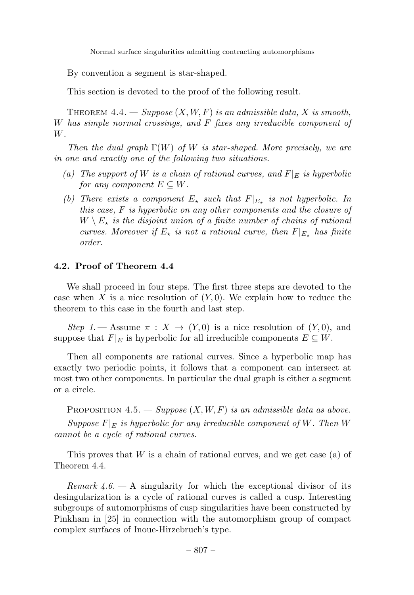By convention a segment is star-shaped.

This section is devoted to the proof of the following result.

THEOREM 4.4. — Suppose  $(X, W, F)$  is an admissible data, X is smooth, W has simple normal crossings, and F fixes any irreducible component of W.

Then the dual graph  $\Gamma(W)$  of W is star-shaped. More precisely, we are in one and exactly one of the following two situations.

- (a) The support of W is a chain of rational curves, and  $F|_E$  is hyperbolic for any component  $E \subseteq W$ .
- (b) There exists a component  $E_{\star}$  such that  $F|_{E_{\star}}$  is not hyperbolic. In this case, F is hyperbolic on any other components and the closure of  $W \setminus E_{\star}$  is the disjoint union of a finite number of chains of rational curves. Moreover if  $E_{\star}$  is not a rational curve, then  $F|_{E_{\star}}$  has finite order.

#### 4.2. Proof of Theorem 4.4

We shall proceed in four steps. The first three steps are devoted to the case when X is a nice resolution of  $(Y, 0)$ . We explain how to reduce the theorem to this case in the fourth and last step.

Step 1. — Assume  $\pi : X \to (Y, 0)$  is a nice resolution of  $(Y, 0)$ , and suppose that  $F|_E$  is hyperbolic for all irreducible components  $E \subseteq W$ .

Then all components are rational curves. Since a hyperbolic map has exactly two periodic points, it follows that a component can intersect at most two other components. In particular the dual graph is either a segment or a circle.

PROPOSITION 4.5. — Suppose  $(X, W, F)$  is an admissible data as above. Suppose  $F|_E$  is hyperbolic for any irreducible component of W. Then W cannot be a cycle of rational curves.

This proves that  $W$  is a chain of rational curves, and we get case (a) of Theorem 4.4.

*Remark 4.6.*  $- A$  singularity for which the exceptional divisor of its desingularization is a cycle of rational curves is called a cusp. Interesting subgroups of automorphisms of cusp singularities have been constructed by Pinkham in [25] in connection with the automorphism group of compact complex surfaces of Inoue-Hirzebruch's type.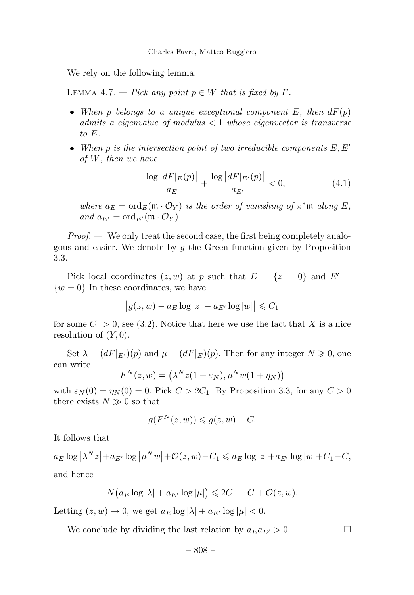We rely on the following lemma.

LEMMA 4.7. — Pick any point  $p \in W$  that is fixed by F.

- When p belongs to a unique exceptional component  $E$ , then  $dF(p)$ admits a eigenvalue of modulus  $< 1$  whose eigenvector is transverse to E.
- When p is the intersection point of two irreducible components  $E, E'$ of W, then we have

$$
\frac{\log |dF|_E(p)|}{a_E} + \frac{\log |dF|_{E'}(p)|}{a_{E'}} < 0,\tag{4.1}
$$

where  $a_E = \text{ord}_E(\mathfrak{m} \cdot \mathcal{O}_Y)$  is the order of vanishing of  $\pi^* \mathfrak{m}$  along E, and  $a_{E'} = \text{ord}_{E'}(\mathfrak{m} \cdot \mathcal{O}_Y).$ 

 $Proof.$  — We only treat the second case, the first being completely analogous and easier. We denote by  $q$  the Green function given by Proposition 3.3.

Pick local coordinates  $(z, w)$  at p such that  $E = \{z = 0\}$  and  $E' =$  $\{w=0\}$  In these coordinates, we have

$$
\big|g(z,w)-a_E\log|z|-a_{E'}\log|w|\big|\leqslant C_1
$$

for some  $C_1 > 0$ , see (3.2). Notice that here we use the fact that X is a nice resolution of  $(Y, 0)$ .

Set  $\lambda = (dF|_{E'})(p)$  and  $\mu = (dF|_{E})(p)$ . Then for any integer  $N \geq 0$ , one can write

$$
F^{N}(z, w) = (\lambda^{N} z (1 + \varepsilon_{N}), \mu^{N} w (1 + \eta_{N}))
$$

with  $\varepsilon_N(0) = \eta_N(0) = 0$ . Pick  $C > 2C_1$ . By Proposition 3.3, for any  $C > 0$ there exists  $N \gg 0$  so that

$$
g(F^N(z, w)) \leq g(z, w) - C.
$$

It follows that

 $a_E \log |\lambda^N z| + a_{E'} \log |\mu^N w| + \mathcal{O}(z, w) - C_1 \leqslant a_E \log |z| + a_{E'} \log |w| + C_1 - C,$ and hence

$$
N\big(a_E\log|\lambda|+a_{E'}\log|\mu|\big)\leqslant 2C_1-C+\mathcal{O}(z,w).
$$

Letting  $(z, w) \to 0$ , we get  $a_E \log |\lambda| + a_{E'} \log |\mu| < 0$ .

We conclude by dividing the last relation by  $a_E a_{E'} > 0$ .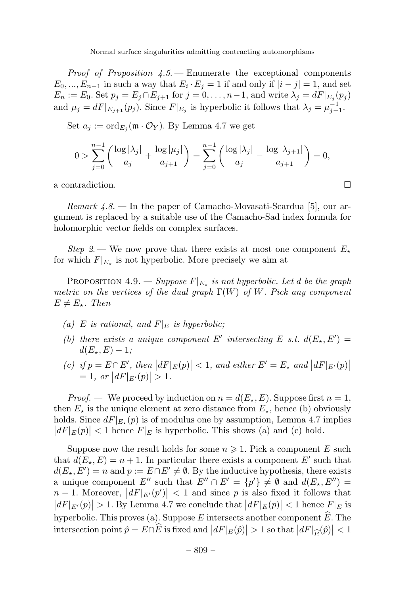*Proof of Proposition 4.5.* – Enumerate the exceptional components  $E_0, ..., E_{n-1}$  in such a way that  $E_i \cdot E_j = 1$  if and only if  $|i - j| = 1$ , and set  $E_n := E_0$ . Set  $p_j = E_j \cap E_{j+1}$  for  $j = 0, \ldots, n-1$ , and write  $\lambda_j = dF|_{E_j}(p_j)$ and  $\mu_j = dF|_{E_{j+1}}(p_j)$ . Since  $F|_{E_j}$  is hyperbolic it follows that  $\lambda_j = \mu_{j-1}^{-1}$ .

Set  $a_j := \text{ord}_{E_j}(\mathfrak{m} \cdot \mathcal{O}_Y)$ . By Lemma 4.7 we get

$$
0 > \sum_{j=0}^{n-1} \left( \frac{\log |\lambda_j|}{a_j} + \frac{\log |\mu_j|}{a_{j+1}} \right) = \sum_{j=0}^{n-1} \left( \frac{\log |\lambda_j|}{a_j} - \frac{\log |\lambda_{j+1}|}{a_{j+1}} \right) = 0,
$$

a contradiction.

*Remark 4.8.* — In the paper of Camacho-Movasati-Scardua [5], our argument is replaced by a suitable use of the Camacho-Sad index formula for holomorphic vector fields on complex surfaces.

Step 2. — We now prove that there exists at most one component  $E_{\star}$ for which  $F|_{E_{\tau}}$  is not hyperbolic. More precisely we aim at

PROPOSITION 4.9. — Suppose  $F|_{E_{\tau}}$  is not hyperbolic. Let d be the graph metric on the vertices of the dual graph  $\Gamma(W)$  of W. Pick any component  $E \neq E_{\star}$ . Then

- (a) E is rational, and  $F|_E$  is hyperbolic;
- (b) there exists a unique component E' intersecting E s.t.  $d(E_{\star}, E') =$  $d(E_{\star}, E) - 1;$
- (c) if  $p = E \cap E'$ , then  $|dF|_E(p)| < 1$ , and either  $E' = E_{\star}$  and  $|dF|_{E'}(p)|$  $= 1, \text{ or } |dF|_{E'}(p)| > 1.$

*Proof.* — We proceed by induction on  $n = d(E_{\star}, E)$ . Suppose first  $n = 1$ , then  $E_{\star}$  is the unique element at zero distance from  $E_{\star}$ , hence (b) obviously holds. Since  $dF|_{E_{\star}}(p)$  is of modulus one by assumption, Lemma 4.7 implies  $|dF|_E(p)| < 1$  hence  $F|_E$  is hyperbolic. This shows (a) and (c) hold.

Suppose now the result holds for some  $n \geq 1$ . Pick a component E such that  $d(E_{\star}, E) = n + 1$ . In particular there exists a component E' such that  $d(E_{\star}, E') = n$  and  $p := E \cap E' \neq \emptyset$ . By the inductive hypothesis, there exists a unique component E'' such that  $E'' \cap E' = \{p'\} \neq \emptyset$  and  $d(E_{\star}, E'') =$  $n-1$ . Moreover,  $|dF|_{E'}(p')| < 1$  and since p is also fixed it follows that  $\left| dF |_{E'}(p) \right| > 1$ . By Lemma 4.7 we conclude that  $\left| dF |_{E}(p) \right| < 1$  hence  $F |_{E}$  is hyperbolic. This proves (a). Suppose E intersects another component  $\tilde{E}$ . The intersection point  $\hat{p} = E \cap \widehat{E}$  is fixed and  $|dF|_E(\hat{p}) > 1$  so that  $|dF|_{\widehat{E}}(\hat{p})| < 1$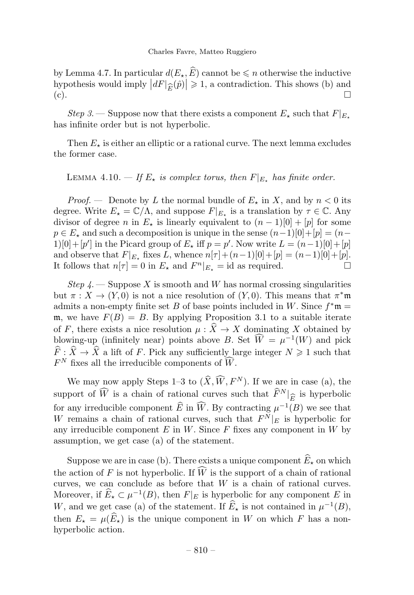by Lemma 4.7. In particular  $d(E_{\star}, \widehat{E})$  cannot be  $\leq n$  otherwise the inductive hypothesis would imply  $|dF|_{\widehat{E}}(\widehat{p})| \geq 1$ , a contradiction. This shows (b) and (c).  $(c).$ 

Step 3. — Suppose now that there exists a component  $E_{\star}$  such that  $F|_{E_{\star}}$ has infinite order but is not hyperbolic.

Then  $E_{\star}$  is either an elliptic or a rational curve. The next lemma excludes the former case.

LEMMA 4.10.  $-$  If  $E_{\star}$  is complex torus, then  $F|_{E_{\star}}$  has finite order.

*Proof.* — Denote by L the normal bundle of  $E_{\star}$  in X, and by  $n < 0$  its degree. Write  $E_{\star} = \mathbb{C}/\Lambda$ , and suppose  $F|_{E_{\star}}$  is a translation by  $\tau \in \mathbb{C}$ . Any divisor of degree n in  $E_{\star}$  is linearly equivalent to  $(n-1)[0] + [p]$  for some  $p \in E_{\star}$  and such a decomposition is unique in the sense  $(n-1)[0]+[p]=(n-1)$ 1)[0] + [p'] in the Picard group of  $E_{\star}$  iff  $p = p'$ . Now write  $L = (n-1)[0] + [p]$ and observe that  $F|_{E_{\star}}$  fixes L, whence  $n[\tau] + (n-1)[0]+[p] = (n-1)[0]+[p].$ <br>It follows that  $n[\tau] = 0$  in E, and  $F^{n}|_{E_{\star}} =$  id as required. It follows that  $n[\tau] = 0$  in  $E_{\star}$  and  $F^{n}|_{E_{\star}} = id$  as required.

Step  $\Lambda$ . Suppose X is smooth and W has normal crossing singularities but  $\pi: X \to (Y, 0)$  is not a nice resolution of  $(Y, 0)$ . This means that  $\pi^* \mathfrak{m}$ admits a non-empty finite set B of base points included in W. Since  $f^*$ m = m, we have  $F(B) = B$ . By applying Proposition 3.1 to a suitable iterate of F, there exists a nice resolution  $\mu : \widehat{X} \to X$  dominating X obtained by blowing-up (infinitely near) points above B. Set  $\hat{W} = \mu^{-1}(W)$  and pick  $\widehat{F}: \widehat{X} \to \widehat{X}$  a lift of F. Pick any sufficiently large integer  $N \geq 1$  such that  $F^N$  fixes all the irreducible components of  $\hat{W}$ .

We may now apply Steps 1–3 to  $(\widehat{X}, \widehat{W}, F^N)$ . If we are in case (a), the support of  $\widehat{W}$  is a chain of rational curves such that  $\widehat{F}^N|_{\widehat{E}}$  is hyperbolic<br>for any implicible companent  $\widehat{E}$  in  $\widehat{W}$ . By contracting  $\cup^{-1}(P)$  we see that for any irreducible component  $\widehat{E}$  in  $\widehat{W}$ . By contracting  $\mu^{-1}(B)$  we see that W remains a chain of rational curves, such that  $F^{\tilde{N}}|_E$  is hyperbolic for any irreducible component  $E$  in  $W$ . Since  $F$  fixes any component in  $W$  by assumption, we get case (a) of the statement.

Suppose we are in case (b). There exists a unique component  $\widehat{E}_\star$  on which the action of  $F$  is not hyperbolic. If  $W$  is the support of a chain of rational curves, we can conclude as before that  $W$  is a chain of rational curves. Moreover, if  $\widehat{E}_\star \subset \mu^{-1}(B)$ , then  $F|_E$  is hyperbolic for any component E in W, and we get case (a) of the statement. If  $\widehat{E}_\star$  is not contained in  $\mu^{-1}(B)$ , then  $E_{\star} = \mu(\widehat{E}_{\star})$  is the unique component in W on which F has a nonhyperbolic action.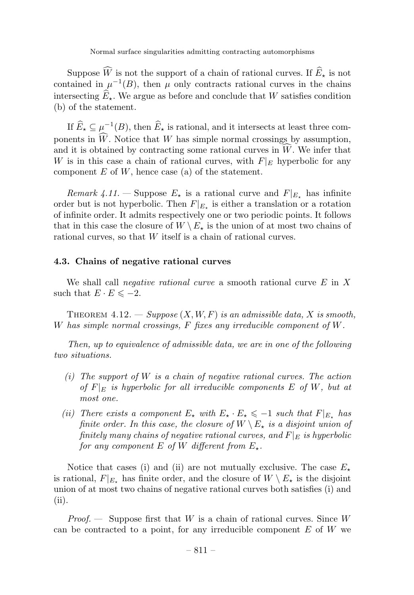Suppose W is not the support of a chain of rational curves. If  $E_{\star}$  is not contained in  $\mu^{-1}(B)$ , then  $\mu$  only contracts rational curves in the chains intersecting  $\widehat{E}_\star$ . We argue as before and conclude that W satisfies condition (b) of the statement.

If  $\widehat{E}_\star \subseteq \mu^{-1}(B),$  then  $\widehat{E}_\star$  is rational, and it intersects at least three components in  $W$ . Notice that  $W$  has simple normal crossings by assumption, and it is obtained by contracting some rational curves in  $W$ . We infer that W is in this case a chain of rational curves, with  $F|_E$  hyperbolic for any component  $E$  of  $W$ , hence case (a) of the statement.

Remark 4.11. – Suppose  $E_{\star}$  is a rational curve and  $F|_{E_{\star}}$  has infinite order but is not hyperbolic. Then  $F|_{E_{\tau}}$  is either a translation or a rotation of infinite order. It admits respectively one or two periodic points. It follows that in this case the closure of  $W \setminus E_{\star}$  is the union of at most two chains of rational curves, so that W itself is a chain of rational curves.

#### 4.3. Chains of negative rational curves

We shall call *negative rational curve* a smooth rational curve  $E$  in  $X$ such that  $E \cdot E \leq -2$ .

THEOREM  $4.12.$  - Suppose  $(X, W, F)$  is an admissible data, X is smooth, W has simple normal crossings, F fixes any irreducible component of W.

Then, up to equivalence of admissible data, we are in one of the following two situations.

- (i) The support of  $W$  is a chain of negative rational curves. The action of  $F|_E$  is hyperbolic for all irreducible components E of W, but at most one.
- (ii) There exists a component  $E_{\star}$  with  $E_{\star} \cdot E_{\star} \le -1$  such that  $F|_{E_{\star}}$  has finite order. In this case, the closure of  $W \setminus E_{\star}$  is a disjoint union of finitely many chains of negative rational curves, and  $F|_E$  is hyperbolic for any component E of W different from  $E_{\star}$ .

Notice that cases (i) and (ii) are not mutually exclusive. The case  $E_{\star}$ is rational,  $F|_{E_{\star}}$  has finite order, and the closure of  $W \setminus E_{\star}$  is the disjoint union of at most two chains of negative rational curves both satisfies (i) and (ii).

*Proof.* — Suppose first that W is a chain of rational curves. Since W can be contracted to a point, for any irreducible component  $E$  of  $W$  we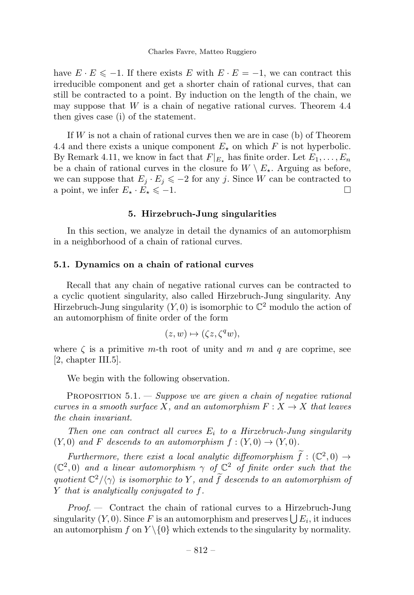have  $E \cdot E \le -1$ . If there exists E with  $E \cdot E = -1$ , we can contract this irreducible component and get a shorter chain of rational curves, that can still be contracted to a point. By induction on the length of the chain, we may suppose that  $W$  is a chain of negative rational curves. Theorem 4.4 then gives case (i) of the statement.

If  $W$  is not a chain of rational curves then we are in case (b) of Theorem 4.4 and there exists a unique component  $E_{\star}$  on which F is not hyperbolic. By Remark 4.11, we know in fact that  $F|_{E_+}$  has finite order. Let  $E_1, \ldots, E_n$ be a chain of rational curves in the closure fo  $W \setminus E_{\star}$ . Arguing as before, we can suppose that  $E_j \cdot E_j \le -2$  for any j. Since W can be contracted to a point, we infer  $E_j \cdot E_j \le -1$ . a point, we infer  $E_{\star} \cdot E_{\star} \leq -1$ .

#### 5. Hirzebruch-Jung singularities

In this section, we analyze in detail the dynamics of an automorphism in a neighborhood of a chain of rational curves.

#### 5.1. Dynamics on a chain of rational curves

Recall that any chain of negative rational curves can be contracted to a cyclic quotient singularity, also called Hirzebruch-Jung singularity. Any Hirzebruch-Jung singularity  $(Y, 0)$  is isomorphic to  $\mathbb{C}^2$  modulo the action of an automorphism of finite order of the form

$$
(z,w)\mapsto (\zeta z,\zeta^q w),
$$

where  $\zeta$  is a primitive m-th root of unity and m and q are coprime, see [2, chapter III.5].

We begin with the following observation.

PROPOSITION  $5.1$ .  $-$  Suppose we are given a chain of negative rational curves in a smooth surface X, and an automorphism  $F: X \to X$  that leaves the chain invariant.

Then one can contract all curves  $E_i$  to a Hirzebruch-Jung singularity  $(Y, 0)$  and F descends to an automorphism  $f : (Y, 0) \rightarrow (Y, 0)$ .

Furthermore, there exist a local analytic diffeomorphism  $f : (\mathbb{C}^2, 0) \to$  $(\mathbb{C}^2,0)$  and a linear automorphism  $\gamma$  of  $\mathbb{C}^2$  of finite order such that the quotient  $\mathbb{C}^2/\langle \gamma \rangle$  is isomorphic to Y, and f descends to an automorphism of Y that is analytically conjugated to f.

Proof. — Contract the chain of rational curves to a Hirzebruch-Jung singularity  $(Y, 0)$ . Since F is an automorphism and preserves  $\bigcup E_i$ , it induces an automorphism f on  $Y \setminus \{0\}$  which extends to the singularity by normality.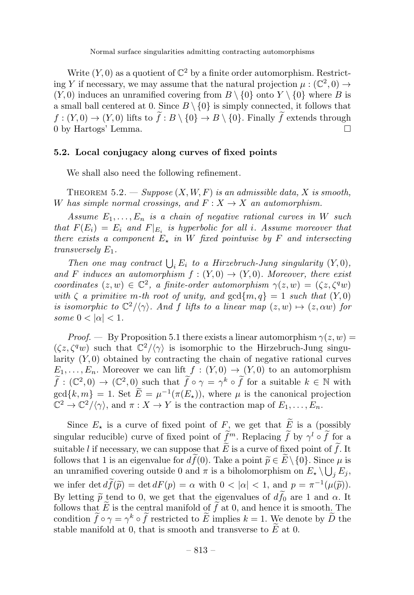Write  $(Y, 0)$  as a quotient of  $\mathbb{C}^2$  by a finite order automorphism. Restricting Y if necessary, we may assume that the natural projection  $\mu : (\mathbb{C}^2, 0) \to$  $(Y, 0)$  induces an unramified covering from  $B \setminus \{0\}$  onto  $Y \setminus \{0\}$  where B is a small ball centered at 0. Since  $B \setminus \{0\}$  is simply connected, it follows that  $f: (Y, 0) \to (Y, 0)$  lifts to  $f: B \setminus \{0\} \to B \setminus \{0\}$ . Finally f extends through 0 by Hartogs' Lemma.

#### 5.2. Local conjugacy along curves of fixed points

We shall also need the following refinement.

THEOREM 5.2. — Suppose  $(X, W, F)$  is an admissible data, X is smooth, W has simple normal crossings, and  $F: X \to X$  an automorphism.

Assume  $E_1, \ldots, E_n$  is a chain of negative rational curves in W such that  $F(E_i) = E_i$  and  $F|_{E_i}$  is hyperbolic for all i. Assume moreover that there exists a component  $E_{\star}$  in W fixed pointwise by F and intersecting transversely  $E_1$ .

Then one may contract  $\bigcup_i E_i$  to a Hirzebruch-Jung singularity  $(Y, 0)$ , and F induces an automorphism  $f:(Y,0) \to (Y,0)$ . Moreover, there exist coordinates  $(z, w) \in \mathbb{C}^2$ , a finite-order automorphism  $\gamma(z, w) = (\zeta z, \zeta^q w)$ with  $\zeta$  a primitive m-th root of unity, and  $gcd\{m, q\} = 1$  such that  $(Y, 0)$ is isomorphic to  $\mathbb{C}^2/\langle \gamma \rangle$ . And f lifts to a linear map  $(z, w) \mapsto (z, \alpha w)$  for some  $0 < |\alpha| < 1$ .

*Proof.* — By Proposition 5.1 there exists a linear automorphism  $\gamma(z, w) =$  $(\zeta z, \zeta^q w)$  such that  $\mathbb{C}^2/\langle \gamma \rangle$  is isomorphic to the Hirzebruch-Jung singularity  $(Y, 0)$  obtained by contracting the chain of negative rational curves  $E_1,\ldots,E_n$ . Moreover we can lift  $f:(Y,0)\to(Y,0)$  to an automorphism  $\hat{f}: (\mathbb{C}^2,0) \to (\mathbb{C}^2,0)$  such that  $\hat{f} \circ \gamma = \gamma^k \circ \hat{f}$  for a suitable  $k \in \mathbb{N}$  with  $gcd\{k,m\} = 1$ . Set  $\widetilde{E} = \mu^{-1}(\pi(E_{\star}))$ , where  $\mu$  is the canonical projection  $\mathbb{C}^2 \to \mathbb{C}^2/\langle \gamma \rangle$ , and  $\pi : X \to Y$  is the contraction map of  $E_1, \ldots, E_n$ .

Since  $E_{\star}$  is a curve of fixed point of F, we get that  $\widetilde{E}$  is a (possibly singular reducible) curve of fixed point of  $\hat{f}^m$ . Replacing  $\hat{f}$  by  $\gamma^l \circ \hat{f}$  for a suitable *l* if necessary, we can suppose that E is a curve of fixed point of f. It follows that 1 is an eigenvalue for  $df(0)$ . Take a point  $\widetilde{p} \in E \setminus \{0\}$ . Since  $\mu$  is an unramified covering outside 0 and  $\pi$  is a biholomorphism on  $E_{\star} \setminus \bigcup_j E_j$ , we infer det  $df(\tilde{p}) = \det dF(p) = \alpha$  with  $0 < |\alpha| < 1$ , and  $p = \pi^{-1}(\mu(\tilde{p}))$ . By letting  $\tilde{p}$  tend to 0, we get that the eigenvalues of  $df_0$  are 1 and  $\alpha$ . It follows that  $E$  is the central manifold of  $f$  at 0, and hence it is smooth. The condition  $\hat{f} \circ \gamma = \gamma^k \circ \hat{f}$  restricted to E implies  $k = 1$ . We denote by  $\hat{D}$  the stable manifold at 0, that is smooth and transverse to  $E$  at 0.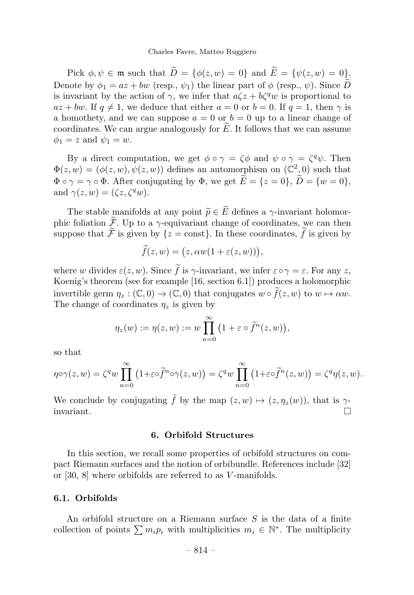#### Charles Favre, Matteo Ruggiero

Pick  $\phi, \psi \in \mathfrak{m}$  such that  $\widetilde{D} = {\phi(z, w) = 0}$  and  $\widetilde{E} = {\psi(z, w) = 0}$ . Denote by  $\phi_1 = az + bw$  (resp.,  $\psi_1$ ) the linear part of  $\phi$  (resp.,  $\psi$ ). Since  $\widetilde{D}$ is invariant by the action of  $\gamma$ , we infer that  $a\zeta z + b\zeta^q w$  is proportional to  $az + bw$ . If  $q \neq 1$ , we deduce that either  $a = 0$  or  $b = 0$ . If  $q = 1$ , then  $\gamma$  is a homothety, and we can suppose  $a = 0$  or  $b = 0$  up to a linear change of coordinates. We can argue analogously for  $E$ . It follows that we can assume  $\phi_1 = z$  and  $\psi_1 = w$ .

By a direct computation, we get  $\phi \circ \gamma = \zeta \phi$  and  $\psi \circ \gamma = \zeta^q \psi$ . Then  $\Phi(z, w)=(\phi(z, w), \psi(z, w))$  defines an automorphism on  $(\mathbb{C}^2, 0)$  such that  $\Phi \circ \gamma = \gamma \circ \Phi$ . After conjugating by  $\Phi$ , we get  $\widetilde{E} = \{z = 0\}$ ,  $\widetilde{D} = \{w = 0\}$ , and  $\gamma(z, w) = (\zeta z, \zeta^q w)$ .

The stable manifolds at any point  $\widetilde{p} \in \widetilde{E}$  defines a  $\gamma$ -invariant holomorphic foliation  $\widetilde{\mathcal{F}}$ . Up to a  $\gamma$ -equivariant change of coordinates, we can then suppose that  $\mathcal F$  is given by  $\{z = \text{const}\}\.$  In these coordinates,  $f$  is given by

$$
\widetilde{f}(z,w) = (z, \alpha w(1 + \varepsilon(z,w))),
$$

where w divides  $\varepsilon(z, w)$ . Since f is  $\gamma$ -invariant, we infer  $\varepsilon \circ \gamma = \varepsilon$ . For any z, Koenig's theorem (see for example [16, section 6.1]) produces a holomorphic invertible germ  $\eta_z : (\mathbb{C},0) \to (\mathbb{C},0)$  that conjugates  $w \circ f(z,w)$  to  $w \mapsto \alpha w$ . The change of coordinates  $\eta_z$  is given by

$$
\eta_z(w) := \eta(z, w) := w \prod_{n=0}^{\infty} (1 + \varepsilon \circ \widetilde{f}^n(z, w)),
$$

so that

$$
\eta \circ \gamma(z, w) = \zeta^q w \prod_{n=0}^{\infty} (1 + \varepsilon \circ \widetilde{f}^n \circ \gamma(z, w)) = \zeta^q w \prod_{n=0}^{\infty} (1 + \varepsilon \circ \widetilde{f}^n(z, w)) = \zeta^q \eta(z, w).
$$

We conclude by conjugating  $\tilde{f}$  by the map  $(z, w) \mapsto (z, \eta_z(w))$ , that is  $\gamma$ -<br>invariant. invariant.

#### 6. Orbifold Structures

In this section, we recall some properties of orbifold structures on compact Riemann surfaces and the notion of orbibundle. References include [32] or [30, 8] where orbifolds are referred to as V -manifolds.

#### 6.1. Orbifolds

An orbifold structure on a Riemann surface  $S$  is the data of a finite collection of points  $\sum m_i p_i$  with multiplicities  $m_i \in \mathbb{N}^*$ . The multiplicity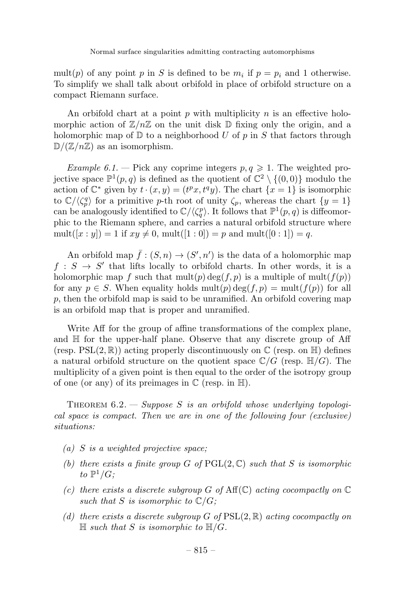mult(p) of any point p in S is defined to be  $m_i$  if  $p = p_i$  and 1 otherwise. To simplify we shall talk about orbifold in place of orbifold structure on a compact Riemann surface.

An orbifold chart at a point p with multiplicity  $n$  is an effective holomorphic action of  $\mathbb{Z}/n\mathbb{Z}$  on the unit disk  $\mathbb D$  fixing only the origin, and a holomorphic map of  $\mathbb D$  to a neighborhood U of p in S that factors through  $\mathbb{D}/(\mathbb{Z}/n\mathbb{Z})$  as an isomorphism.

Example 6.1. – Pick any coprime integers  $p, q \geq 1$ . The weighted projective space  $\mathbb{P}^1(p,q)$  is defined as the quotient of  $\mathbb{C}^2 \setminus \{(0,0)\}\)$  modulo the action of  $\mathbb{C}^*$  given by  $t \cdot (x, y) = (t^p x, t^q y)$ . The chart  $\{x = 1\}$  is isomorphic to  $\mathbb{C}/\langle \zeta_p^q \rangle$  for a primitive p-th root of unity  $\zeta_p$ , whereas the chart  $\{y = 1\}$ can be analogously identified to  $\mathbb{C}/\langle \zeta_q^p \rangle$ . It follows that  $\mathbb{P}^1(p,q)$  is diffeomorphic to the Riemann sphere, and carries a natural orbifold structure where  $mult([x:y]) = 1$  if  $xy \neq 0$ ,  $mult([1:0]) = p$  and  $mult([0:1]) = q$ .

An orbifold map  $\bar{f}$  :  $(S, n) \to (S', n')$  is the data of a holomorphic map  $f : S \to S'$  that lifts locally to orbifold charts. In other words, it is a holomorphic map f such that  $mult(p) deg(f, p)$  is a multiple of  $mult(f(p))$ for any  $p \in S$ . When equality holds  $mult(p) \deg(f, p) = mult(f(p))$  for all p, then the orbifold map is said to be unramified. An orbifold covering map is an orbifold map that is proper and unramified.

Write Aff for the group of affine transformations of the complex plane, and H for the upper-half plane. Observe that any discrete group of Aff (resp.  $PSL(2,\mathbb{R})$ ) acting properly discontinuously on  $\mathbb{C}$  (resp. on  $\mathbb{H}$ ) defines a natural orbifold structure on the quotient space  $\mathbb{C}/G$  (resp.  $\mathbb{H}/G$ ). The multiplicity of a given point is then equal to the order of the isotropy group of one (or any) of its preimages in  $\mathbb C$  (resp. in  $\mathbb H$ ).

THEOREM  $6.2.$  - Suppose S is an orbifold whose underlying topological space is compact. Then we are in one of the following four (exclusive) situations:

- (a) S is a weighted projective space;
- (b) there exists a finite group G of  $PGL(2,\mathbb{C})$  such that S is isomorphic to  $\mathbb{P}^1/G$ :
- (c) there exists a discrete subgroup G of  $Aff(\mathbb{C})$  acting cocompactly on  $\mathbb C$ such that S is isomorphic to  $\mathbb{C}/G$ ;
- (d) there exists a discrete subgroup G of  $PSL(2, \mathbb{R})$  acting cocompactly on  $\mathbb H$  such that S is isomorphic to  $\mathbb H/G$ .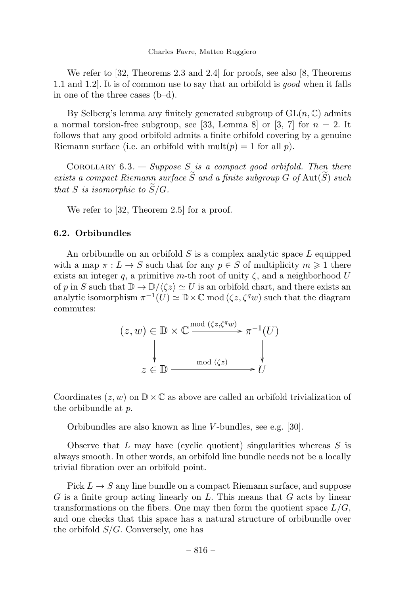We refer to [32, Theorems 2.3 and 2.4] for proofs, see also [8, Theorems 1.1 and 1.2]. It is of common use to say that an orbifold is good when it falls in one of the three cases (b–d).

By Selberg's lemma any finitely generated subgroup of  $GL(n, \mathbb{C})$  admits a normal torsion-free subgroup, see [33, Lemma 8] or [3, 7] for  $n = 2$ . It follows that any good orbifold admits a finite orbifold covering by a genuine Riemann surface (i.e. an orbifold with  $mult(p) = 1$  for all p).

COROLLARY  $6.3.$  - Suppose S is a compact good orbifold. Then there exists a compact Riemann surface  $\widetilde{S}$  and a finite subgroup  $\widetilde{G}$  of  $\text{Aut}(\widetilde{S})$  such that S is isomorphic to  $\widetilde{S}/G$ .

We refer to [32, Theorem 2.5] for a proof.

#### 6.2. Orbibundles

An orbibundle on an orbifold  $S$  is a complex analytic space  $L$  equipped with a map  $\pi: L \to S$  such that for any  $p \in S$  of multiplicity  $m \geq 1$  there exists an integer q, a primitive m-th root of unity  $\zeta$ , and a neighborhood U of p in S such that  $\mathbb{D} \to \mathbb{D}/\langle \zeta z \rangle \simeq U$  is an orbifold chart, and there exists an analytic isomorphism  $\pi^{-1}(U) \simeq \mathbb{D} \times \mathbb{C}$  mod  $(\zeta z, \zeta^q w)$  such that the diagram commutes:

$$
(z, w) \in \mathbb{D} \times \mathbb{C} \xrightarrow{\text{mod } (\zeta z, \zeta^q w)} \pi^{-1}(U)
$$
  

$$
\downarrow \qquad \qquad \downarrow
$$
  

$$
z \in \mathbb{D} \xrightarrow{\text{mod } (\zeta z)} U
$$

Coordinates  $(z, w)$  on  $\mathbb{D} \times \mathbb{C}$  as above are called an orbifold trivialization of the orbibundle at p.

Orbibundles are also known as line V -bundles, see e.g. [30].

Observe that  $L$  may have (cyclic quotient) singularities whereas  $S$  is always smooth. In other words, an orbifold line bundle needs not be a locally trivial fibration over an orbifold point.

Pick  $L \to S$  any line bundle on a compact Riemann surface, and suppose G is a finite group acting linearly on L. This means that G acts by linear transformations on the fibers. One may then form the quotient space  $L/G$ , and one checks that this space has a natural structure of orbibundle over the orbifold  $S/G$ . Conversely, one has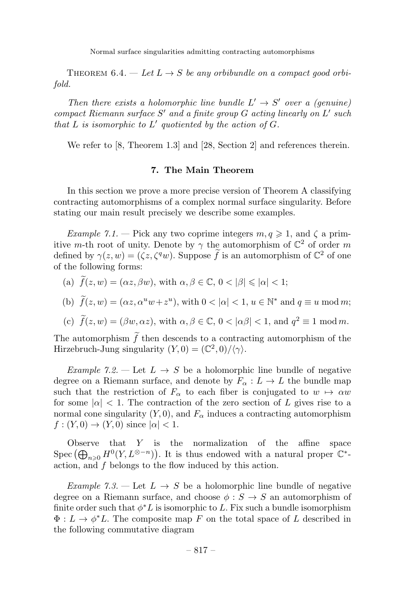THEOREM 6.4. — Let  $L \rightarrow S$  be any orbibundle on a compact good orbifold.

Then there exists a holomorphic line bundle  $L' \rightarrow S'$  over a (genuine) compact Riemann surface  $S'$  and a finite group  $G$  acting linearly on  $L'$  such that  $L$  is isomorphic to  $L'$  quotiented by the action of  $G$ .

We refer to [8, Theorem 1.3] and [28, Section 2] and references therein.

#### 7. The Main Theorem

In this section we prove a more precise version of Theorem A classifying contracting automorphisms of a complex normal surface singularity. Before stating our main result precisely we describe some examples.

Example 7.1. – Pick any two coprime integers  $m, q \geq 1$ , and  $\zeta$  a primitive m-th root of unity. Denote by  $\gamma$  the automorphism of  $\mathbb{C}^2$  of order m defined by  $\gamma(z, w) = (\zeta z, \zeta^q w)$ . Suppose  $\hat{f}$  is an automorphism of  $\mathbb{C}^2$  of one of the following forms:

(a) 
$$
f(z, w) = (\alpha z, \beta w)
$$
, with  $\alpha, \beta \in \mathbb{C}$ ,  $0 < |\beta| \le |\alpha| < 1$ ;

(b) 
$$
\hat{f}(z, w) = (\alpha z, \alpha^u w + z^u)
$$
, with  $0 < |\alpha| < 1$ ,  $u \in \mathbb{N}^*$  and  $q \equiv u \mod m$ ;

(c) 
$$
\tilde{f}(z, w) = (\beta w, \alpha z)
$$
, with  $\alpha, \beta \in \mathbb{C}$ ,  $0 < |\alpha \beta| < 1$ , and  $q^2 \equiv 1 \mod m$ .

The automorphism  $f$  then descends to a contracting automorphism of the Hirzebruch-Jung singularity  $(Y, 0) = (\mathbb{C}^2, 0) / \langle \gamma \rangle$ .

Example 7.2. — Let  $L \rightarrow S$  be a holomorphic line bundle of negative degree on a Riemann surface, and denote by  $F_{\alpha}: L \to L$  the bundle map such that the restriction of  $F_{\alpha}$  to each fiber is conjugated to  $w \mapsto \alpha w$ for some  $|\alpha|$  < 1. The contraction of the zero section of L gives rise to a normal cone singularity  $(Y, 0)$ , and  $F_{\alpha}$  induces a contracting automorphism  $f:(Y,0)\to(Y,0)$  since  $|\alpha|<1$ .

Observe that Y is the normalization of the affine space Spec  $(\bigoplus_{n\geqslant 0} H^0(Y,L^{\otimes -n})$ . It is thus endowed with a natural proper  $\mathbb{C}^*$ action, and f belongs to the flow induced by this action.

Example 7.3. — Let  $L \rightarrow S$  be a holomorphic line bundle of negative degree on a Riemann surface, and choose  $\phi : S \to S$  an automorphism of finite order such that  $\phi^*L$  is isomorphic to L. Fix such a bundle isomorphism  $\Phi: L \to \phi^*L$ . The composite map F on the total space of L described in the following commutative diagram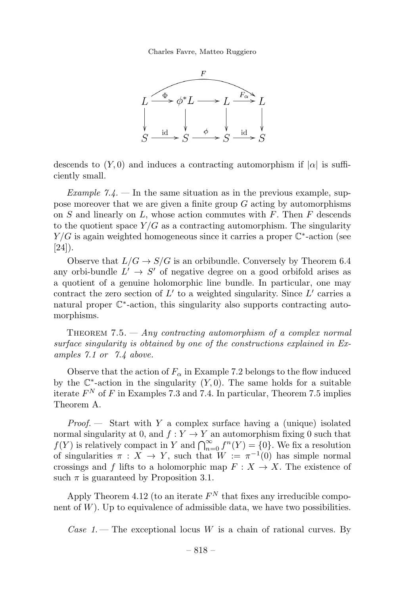Charles Favre, Matteo Ruggiero



descends to  $(Y, 0)$  and induces a contracting automorphism if  $|\alpha|$  is sufficiently small.

Example 7.4.  $\frac{1}{2}$  In the same situation as in the previous example, suppose moreover that we are given a finite group  $G$  acting by automorphisms on  $S$  and linearly on  $L$ , whose action commutes with  $F$ . Then  $F$  descends to the quotient space  $Y/G$  as a contracting automorphism. The singularity  $Y/G$  is again weighted homogeneous since it carries a proper  $\mathbb{C}^*$ -action (see  $[24]$ ).

Observe that  $L/G \to S/G$  is an orbibundle. Conversely by Theorem 6.4 any orbi-bundle  $L' \rightarrow S'$  of negative degree on a good orbifold arises as a quotient of a genuine holomorphic line bundle. In particular, one may contract the zero section of  $L'$  to a weighted singularity. Since  $L'$  carries a natural proper C∗-action, this singularity also supports contracting automorphisms.

THEOREM 7.5.  $-$  Any contracting automorphism of a complex normal surface singularity is obtained by one of the constructions explained in Examples 7.1 or 7.4 above.

Observe that the action of  $F_{\alpha}$  in Example 7.2 belongs to the flow induced by the  $\mathbb{C}^*$ -action in the singularity  $(Y, 0)$ . The same holds for a suitable iterate  $F^N$  of F in Examples 7.3 and 7.4. In particular, Theorem 7.5 implies Theorem A.

*Proof.*  $\longrightarrow$  Start with Y a complex surface having a (unique) isolated normal singularity at 0, and  $f: Y \to Y$  an automorphism fixing 0 such that  $f(Y)$  is relatively compact in Y and  $\bigcap_{n=0}^{\infty} f^n(Y) = \{0\}$ . We fix a resolution of singularities  $\pi : X \to Y$ , such that  $W := \pi^{-1}(0)$  has simple normal crossings and f lifts to a holomorphic map  $F: X \to X$ . The existence of such  $\pi$  is guaranteed by Proposition 3.1.

Apply Theorem 4.12 (to an iterate  $F<sup>N</sup>$  that fixes any irreducible component of  $W$ ). Up to equivalence of admissible data, we have two possibilities.

Case 1. – The exceptional locus W is a chain of rational curves. By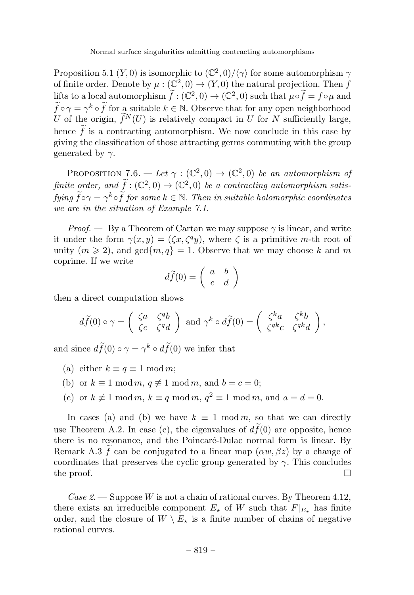Proposition 5.1  $(Y,0)$  is isomorphic to  $(\mathbb{C}^2,0)/\langle \gamma \rangle$  for some automorphism  $\gamma$ of finite order. Denote by  $\mu : (\mathbb{C}^2, 0) \to (Y, 0)$  the natural projection. Then f lifts to a local automorphism  $\hat{f} : (\mathbb{C}^2, 0) \to (\mathbb{C}^2, 0)$  such that  $\mu \circ \hat{f} = f \circ \mu$  and  $f \circ \gamma = \gamma^k \circ f$  for a suitable  $k \in \mathbb{N}$ . Observe that for any open neighborhood U of the origin,  $\hat{f}^N(U)$  is relatively compact in U for N sufficiently large, hence  $f$  is a contracting automorphism. We now conclude in this case by giving the classification of those attracting germs commuting with the group generated by  $\gamma$ .

PROPOSITION 7.6. — Let  $\gamma : (\mathbb{C}^2, 0) \to (\mathbb{C}^2, 0)$  be an automorphism of finite order, and  $f : (\mathbb{C}^2, 0) \to (\mathbb{C}^2, 0)$  be a contracting automorphism satisfying  $\widehat{f} \circ \gamma = \gamma^k \circ f$  for some  $k \in \mathbb{N}$ . Then in suitable holomorphic coordinates we are in the situation of Example 7.1.

*Proof.* — By a Theorem of Cartan we may suppose  $\gamma$  is linear, and write it under the form  $\gamma(x, y) = (\zeta x, \zeta^q y)$ , where  $\zeta$  is a primitive m-th root of unity  $(m \ge 2)$ , and  $gcd{m, q} = 1$ . Observe that we may choose k and m coprime. If we write

$$
d\widetilde{f}(0)=\left(\begin{array}{cc}a&b\\c&d\end{array}\right)
$$

then a direct computation shows

$$
d\widetilde{f}(0) \circ \gamma = \begin{pmatrix} \zeta a & \zeta^q b \\ \zeta c & \zeta^q d \end{pmatrix} \text{ and } \gamma^k \circ d\widetilde{f}(0) = \begin{pmatrix} \zeta^k a & \zeta^k b \\ \zeta^{qk} c & \zeta^{qk} d \end{pmatrix},
$$

and since  $df(0) \circ \gamma = \gamma^k \circ df(0)$  we infer that

- (a) either  $k \equiv q \equiv 1 \mod m$ ;
- (b) or  $k \equiv 1 \mod m$ ,  $q \not\equiv 1 \mod m$ , and  $b = c = 0$ ;
- (c) or  $k \not\equiv 1 \mod m$ ,  $k \equiv q \mod m$ ,  $q^2 \equiv 1 \mod m$ , and  $a = d = 0$ .

In cases (a) and (b) we have  $k \equiv 1 \mod m$ , so that we can directly use Theorem A.2. In case  $(c)$ , the eigenvalues of  $df(0)$  are opposite, hence there is no resonance, and the Poincaré-Dulac normal form is linear. By Remark A.3 f can be conjugated to a linear map  $(\alpha w, \beta z)$  by a change of coordinates that preserves the cyclic group generated by  $\gamma$ . This concludes the proof.  $\Box$ 

Case 2. — Suppose W is not a chain of rational curves. By Theorem 4.12, there exists an irreducible component  $E_{\star}$  of W such that  $F|_{E_{\star}}$  has finite order, and the closure of  $W \setminus E_{\star}$  is a finite number of chains of negative rational curves.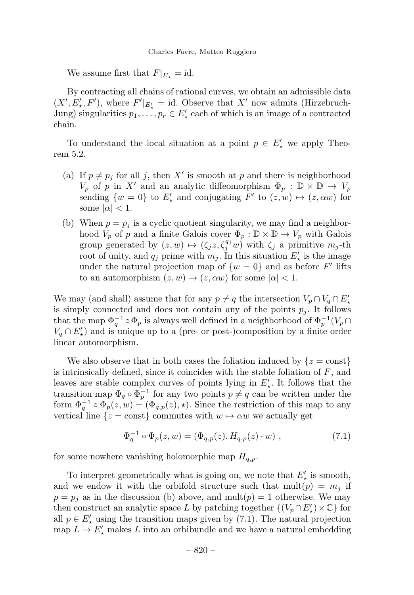We assume first that  $F|_{E_+} = id$ .

By contracting all chains of rational curves, we obtain an admissible data  $(X', E'_{\star}, F')$ , where  $F'|_{E'_{\star}} = id$ . Observe that X' now admits (Hirzebruch-Jung) singularities  $p_1, \ldots, p_r \in E'$  each of which is an image of a contracted chain.

To understand the local situation at a point  $p \in E'_{\star}$  we apply Theorem 5.2.

- (a) If  $p \neq p_j$  for all j, then X' is smooth at p and there is neighborhood  $V_p$  of p in X' and an analytic diffeomorphism  $\Phi_p : \mathbb{D} \times \mathbb{D} \to V_p$ sending  $\{w = 0\}$  to  $E'_{\star}$  and conjugating  $F'$  to  $(z, w) \mapsto (z, \alpha w)$  for some  $|\alpha| < 1$ .
- (b) When  $p = p_i$  is a cyclic quotient singularity, we may find a neighborhood  $V_p$  of p and a finite Galois cover  $\Phi_p : \mathbb{D} \times \mathbb{D} \to V_p$  with Galois group generated by  $(z, w) \mapsto (\zeta_j z, \zeta_j^{q_j} w)$  with  $\zeta_j$  a primitive  $m_j$ -th root of unity, and  $q_j$  prime with  $m_j$ . In this situation  $E'_{\star}$  is the image under the natural projection map of  $\{w = 0\}$  and as before F' lifts to an automorphism  $(z, w) \mapsto (z, \alpha w)$  for some  $|\alpha| < 1$ .

We may (and shall) assume that for any  $p \neq q$  the intersection  $V_p \cap V_q \cap E'_*$ is simply connected and does not contain any of the points  $p_j$ . It follows that the map  $\Phi_q^{-1} \circ \Phi_p$  is always well defined in a neighborhood of  $\Phi_p^{-1}(V_p \cap$  $V_q \cap E'_\star$ ) and is unique up to a (pre- or post-)composition by a finite order linear automorphism.

We also observe that in both cases the foliation induced by  $\{z = \text{const}\}\$ is intrinsically defined, since it coincides with the stable foliation of  $F$ , and leaves are stable complex curves of points lying in  $E'_{\star}$ . It follows that the transition map  $\Phi_q \circ \Phi_n^{-1}$  for any two points  $p \neq q$  can be written under the form  $\Phi_q^{-1} \circ \Phi_p(z, w) = (\Phi_{q,p}(z), \star)$ . Since the restriction of this map to any vertical line  $\{z = \text{const}\}\)$  commutes with  $w \mapsto \alpha w$  we actually get

$$
\Phi_q^{-1} \circ \Phi_p(z, w) = (\Phi_{q,p}(z), H_{q,p}(z) \cdot w) , \qquad (7.1)
$$

for some nowhere vanishing holomorphic map  $H_{q,p}$ .

To interpret geometrically what is going on, we note that  $E'_{\star}$  is smooth, and we endow it with the orbifold structure such that  $mult(p) = m<sub>j</sub>$  if  $p = p_j$  as in the discussion (b) above, and mult $(p) = 1$  otherwise. We may then construct an analytic space L by patching together  $\{(V_p \cap E'_\star) \times \mathbb{C}\}\)$  for all  $p \in E'$  using the transition maps given by (7.1). The natural projection map  $L \to E'$ , makes L into an orbibundle and we have a natural embedding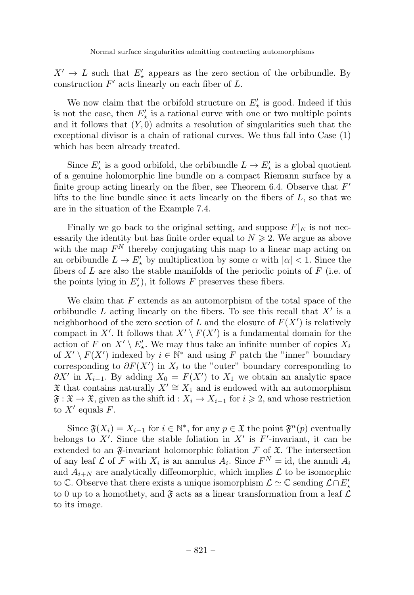$X' \to L$  such that  $E'_{\star}$  appears as the zero section of the orbibundle. By construction  $F'$  acts linearly on each fiber of  $L$ .

We now claim that the orbifold structure on  $E'_{\star}$  is good. Indeed if this is not the case, then  $E'_{\star}$  is a rational curve with one or two multiple points and it follows that  $(Y, 0)$  admits a resolution of singularities such that the exceptional divisor is a chain of rational curves. We thus fall into Case (1) which has been already treated.

Since  $E'_{\star}$  is a good orbifold, the orbibundle  $L \to E'_{\star}$  is a global quotient of a genuine holomorphic line bundle on a compact Riemann surface by a finite group acting linearly on the fiber, see Theorem 6.4. Observe that  $F'$ lifts to the line bundle since it acts linearly on the fibers of  $L$ , so that we are in the situation of the Example 7.4.

Finally we go back to the original setting, and suppose  $F|_E$  is not necessarily the identity but has finite order equal to  $N \geq 2$ . We argue as above with the map  $F^N$  thereby conjugating this map to a linear map acting on an orbibundle  $L \to E'_{\star}$  by multiplication by some  $\alpha$  with  $|\alpha| < 1$ . Since the fibers of  $L$  are also the stable manifolds of the periodic points of  $F$  (i.e. of the points lying in  $E'_{\star}$ ), it follows F preserves these fibers.

We claim that  $F$  extends as an automorphism of the total space of the orbibundle  $L$  acting linearly on the fibers. To see this recall that  $X'$  is a neighborhood of the zero section of L and the closure of  $F(X')$  is relatively compact in X'. It follows that  $X' \setminus F(X')$  is a fundamental domain for the action of F on  $X' \setminus E'_*$ . We may thus take an infinite number of copies  $X_i$ of  $X' \setminus F(X')$  indexed by  $i \in \mathbb{N}^*$  and using F patch the "inner" boundary corresponding to  $\partial F(X')$  in  $X_i$  to the "outer" boundary corresponding to  $\partial X'$  in  $X_{i-1}$ . By adding  $X_0 = F(X')$  to  $X_1$  we obtain an analytic space X that contains naturally  $X' \cong X_1$  and is endowed with an automorphism  $\mathfrak{F} : \mathfrak{X} \to \mathfrak{X}$ , given as the shift id :  $X_i \to X_{i-1}$  for  $i \geq 2$ , and whose restriction to  $X'$  equals F.

Since  $\mathfrak{F}(X_i) = X_{i-1}$  for  $i \in \mathbb{N}^*$ , for any  $p \in \mathfrak{X}$  the point  $\mathfrak{F}^n(p)$  eventually belongs to X'. Since the stable foliation in  $X'$  is  $F'$ -invariant, it can be extended to an  $\mathfrak{F}$ -invariant holomorphic foliation  $\mathcal F$  of  $\mathfrak{X}$ . The intersection of any leaf  $\mathcal L$  of  $\mathcal F$  with  $X_i$  is an annulus  $A_i$ . Since  $F^N = id$ , the annuli  $A_i$ and  $A_{i+N}$  are analytically diffeomorphic, which implies  $\mathcal L$  to be isomorphic to C. Observe that there exists a unique isomorphism  $\mathcal{L} \simeq \mathbb{C}$  sending  $\mathcal{L} \cap E'_{\star}$ to 0 up to a homothety, and  $\mathfrak{F}$  acts as a linear transformation from a leaf  $\mathcal{L}$ to its image.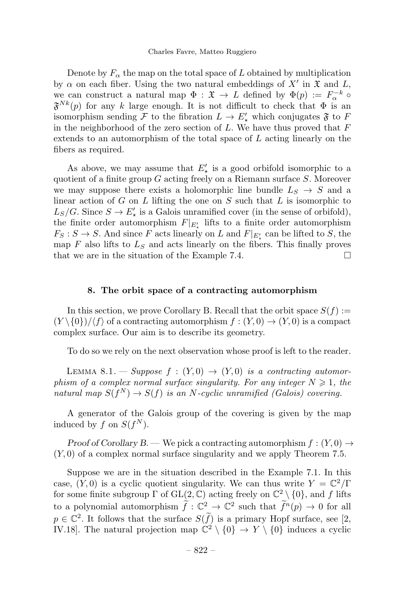#### Charles Favre, Matteo Ruggiero

Denote by  $F_{\alpha}$  the map on the total space of L obtained by multiplication by  $\alpha$  on each fiber. Using the two natural embeddings of X' in  $\mathfrak X$  and L, we can construct a natural map  $\Phi : \mathfrak{X} \to L$  defined by  $\Phi(p) := F_{\alpha}^{-k} \circ$  $\mathfrak{F}^{Nk}(p)$  for any k large enough. It is not difficult to check that  $\Phi$  is an isomorphism sending  $\mathcal F$  to the fibration  $L \to E'_{\star}$  which conjugates  $\mathfrak F$  to  $F$ in the neighborhood of the zero section of L. We have thus proved that  $F$ extends to an automorphism of the total space of L acting linearly on the fibers as required.

As above, we may assume that  $E'_{\star}$  is a good orbifold isomorphic to a quotient of a finite group  $G$  acting freely on a Riemann surface  $S$ . Moreover we may suppose there exists a holomorphic line bundle  $L_S \rightarrow S$  and a linear action of G on L lifting the one on S such that L is isomorphic to  $L_S/G$ . Since  $S \to E'_{\star}$  is a Galois unramified cover (in the sense of orbifold), the finite order automorphism  $F|_{E'_{\star}}$  lifts to a finite order automorphism  $F_S: S \to S$ . And since F acts linearly on L and  $F|_{E'_\star}$  can be lifted to S, the map  $F$  also lifts to  $L<sub>S</sub>$  and acts linearly on the fibers. This finally proves that we are in the situation of the Example 7.4.  $\Box$ 

#### 8. The orbit space of a contracting automorphism

In this section, we prove Corollary B. Recall that the orbit space  $S(f) :=$  $(Y \setminus \{0\})/\langle f \rangle$  of a contracting automorphism  $f : (Y, 0) \to (Y, 0)$  is a compact complex surface. Our aim is to describe its geometry.

To do so we rely on the next observation whose proof is left to the reader.

LEMMA 8.1. — Suppose  $f : (Y, 0) \rightarrow (Y, 0)$  is a contracting automorphism of a complex normal surface singularity. For any integer  $N \geq 1$ , the natural map  $S(f^N) \to S(f)$  is an N-cyclic unramified (Galois) covering.

A generator of the Galois group of the covering is given by the map induced by f on  $S(f^N)$ .

Proof of Corollary B. — We pick a contracting automorphism  $f: (Y, 0) \rightarrow$  $(Y, 0)$  of a complex normal surface singularity and we apply Theorem 7.5.

Suppose we are in the situation described in the Example 7.1. In this case,  $(Y, 0)$  is a cyclic quotient singularity. We can thus write  $Y = \mathbb{C}^2/\Gamma$ for some finite subgroup  $\Gamma$  of  $GL(2,\mathbb{C})$  acting freely on  $\mathbb{C}^2 \setminus \{0\}$ , and f lifts to a polynomial automorphism  $\hat{f}: \mathbb{C}^2 \to \mathbb{C}^2$  such that  $\hat{f}^n(p) \to 0$  for all  $p \in \mathbb{C}^2$ . It follows that the surface  $S(f)$  is a primary Hopf surface, see [2, IV.18]. The natural projection map  $\mathbb{C}^2 \setminus \{0\} \to Y \setminus \{0\}$  induces a cyclic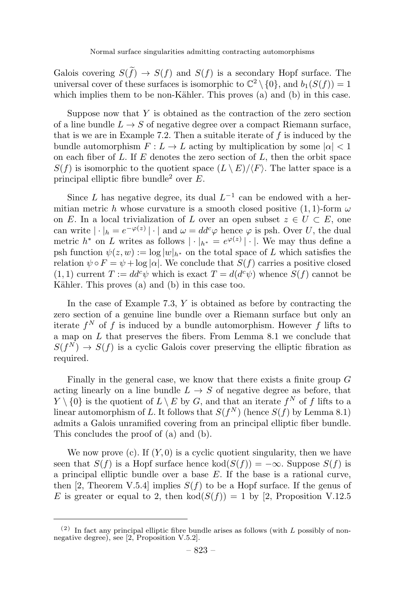Galois covering  $S(f) \to S(f)$  and  $S(f)$  is a secondary Hopf surface. The universal cover of these surfaces is isomorphic to  $\mathbb{C}^2 \setminus \{0\}$ , and  $b_1(S(f)) = 1$ which implies them to be non-Kähler. This proves  $(a)$  and  $(b)$  in this case.

Suppose now that  $Y$  is obtained as the contraction of the zero section of a line bundle  $L \to S$  of negative degree over a compact Riemann surface, that is we are in Example 7.2. Then a suitable iterate of  $f$  is induced by the bundle automorphism  $F: L \to L$  acting by multiplication by some  $|\alpha| < 1$ on each fiber of  $L$ . If  $E$  denotes the zero section of  $L$ , then the orbit space  $S(f)$  is isomorphic to the quotient space  $(L \setminus E)/\langle F \rangle$ . The latter space is a principal elliptic fibre bundle<sup>2</sup> over  $E$ .

Since L has negative degree, its dual  $L^{-1}$  can be endowed with a hermitian metric h whose curvature is a smooth closed positive  $(1, 1)$ -form  $\omega$ on E. In a local trivialization of L over an open subset  $z \in U \subset E$ , one can write  $|\cdot|_h = e^{-\varphi(z)} |\cdot|$  and  $\omega = dd^c\varphi$  hence  $\varphi$  is psh. Over U, the dual metric  $h^*$  on L writes as follows  $|\cdot|_{h^*} = e^{\varphi(z)} |\cdot|$ . We may thus define a psh function  $\psi(z, w) := \log |w|_{h^*}$  on the total space of L which satisfies the relation  $\psi \circ F = \psi + \log |\alpha|$ . We conclude that  $S(f)$  carries a positive closed  $(1, 1)$  current  $T := dd^c \psi$  which is exact  $T = d(d^c \psi)$  whence  $S(f)$  cannot be Kähler. This proves (a) and (b) in this case too.

In the case of Example 7.3,  $Y$  is obtained as before by contracting the zero section of a genuine line bundle over a Riemann surface but only an iterate  $f^N$  of f is induced by a bundle automorphism. However f lifts to a map on  $L$  that preserves the fibers. From Lemma 8.1 we conclude that  $S(f^{N}) \rightarrow S(f)$  is a cyclic Galois cover preserving the elliptic fibration as required.

Finally in the general case, we know that there exists a finite group  $G$ acting linearly on a line bundle  $L \rightarrow S$  of negative degree as before, that  $Y \setminus \{0\}$  is the quotient of  $L \setminus E$  by  $G$ , and that an iterate  $f^N$  of f lifts to a linear automorphism of L. It follows that  $S(f^N)$  (hence  $S(f)$  by Lemma 8.1) admits a Galois unramified covering from an principal elliptic fiber bundle. This concludes the proof of (a) and (b).

We now prove  $(c)$ . If  $(Y, 0)$  is a cyclic quotient singularity, then we have seen that  $S(f)$  is a Hopf surface hence  $\text{kod}(S(f)) = -\infty$ . Suppose  $S(f)$  is a principal elliptic bundle over a base  $E$ . If the base is a rational curve, then [2, Theorem V.5.4] implies  $S(f)$  to be a Hopf surface. If the genus of E is greater or equal to 2, then  $\text{kod}(S(f)) = 1$  by [2, Proposition V.12.5

 $(2)$  In fact any principal elliptic fibre bundle arises as follows (with L possibly of nonnegative degree), see [2, Proposition V.5.2].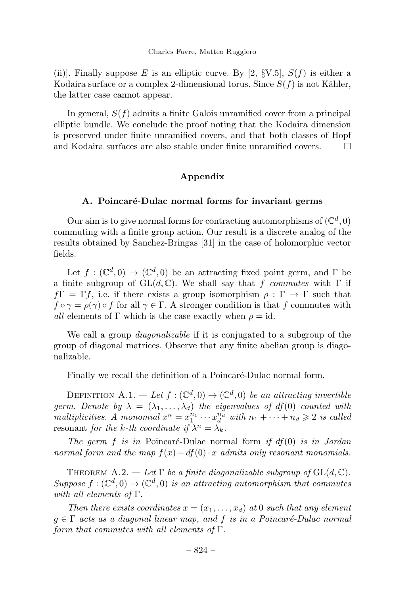(ii)]. Finally suppose E is an elliptic curve. By [2,  $\S V.5$ ],  $S(f)$  is either a Kodaira surface or a complex 2-dimensional torus. Since  $S(f)$  is not Kähler, the latter case cannot appear.

In general,  $S(f)$  admits a finite Galois unramified cover from a principal elliptic bundle. We conclude the proof noting that the Kodaira dimension is preserved under finite unramified covers, and that both classes of Hopf and Kodaira surfaces are also stable under finite unramified covers.

#### Appendix

#### A. Poincaré-Dulac normal forms for invariant germs

Our aim is to give normal forms for contracting automorphisms of  $(\mathbb{C}^d, 0)$ commuting with a finite group action. Our result is a discrete analog of the results obtained by Sanchez-Bringas [31] in the case of holomorphic vector fields.

Let  $f: (\mathbb{C}^d, 0) \to (\mathbb{C}^d, 0)$  be an attracting fixed point germ, and  $\Gamma$  be a finite subgroup of  $GL(d, \mathbb{C})$ . We shall say that f commutes with  $\Gamma$  if  $f\Gamma=\Gamma f$ , i.e. if there exists a group isomorphism  $\rho : \Gamma \to \Gamma$  such that  $f \circ \gamma = \rho(\gamma) \circ f$  for all  $\gamma \in \Gamma$ . A stronger condition is that f commutes with all elements of  $\Gamma$  which is the case exactly when  $\rho = id$ .

We call a group *diagonalizable* if it is conjugated to a subgroup of the group of diagonal matrices. Observe that any finite abelian group is diagonalizable.

Finally we recall the definition of a Poincaré-Dulac normal form.

DEFINITION A.1. — Let  $f: (\mathbb{C}^d, 0) \to (\mathbb{C}^d, 0)$  be an attracting invertible germ. Denote by  $\lambda = (\lambda_1, \ldots, \lambda_d)$  the eigenvalues of df(0) counted with multiplicities. A monomial  $x^n = x_1^{n_1} \cdots x_d^{n_d}$  with  $n_1 + \cdots + n_d \geqslant 2$  is called resonant for the k-th coordinate if  $\lambda^n = \lambda_k$ .

The germ  $f$  is in Poincaré-Dulac normal form if  $df(0)$  is in Jordan normal form and the map  $f(x) - df(0) \cdot x$  admits only resonant monomials.

THEOREM A.2. — Let  $\Gamma$  be a finite diagonalizable subgroup of  $GL(d, \mathbb{C})$ . Suppose  $f: (\mathbb{C}^d, 0) \to (\mathbb{C}^d, 0)$  is an attracting automorphism that commutes with all elements of  $\Gamma$ .

Then there exists coordinates  $x = (x_1, \ldots, x_d)$  at 0 such that any element  $g \in \Gamma$  acts as a diagonal linear map, and f is in a Poincaré-Dulac normal form that commutes with all elements of  $\Gamma$ .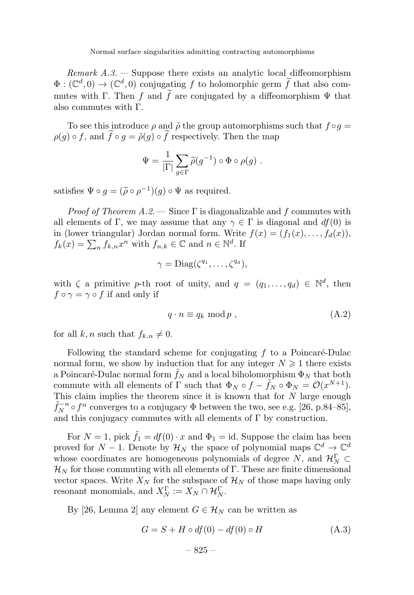Remark  $A.3.$  — Suppose there exists an analytic local diffeomorphism  $\Phi: (\mathbb{C}^d, 0) \to (\mathbb{C}^d, 0)$  conjugating f to holomorphic germ f that also commutes with  $\Gamma$ . Then f and f are conjugated by a diffeomorphism  $\Psi$  that also commutes with Γ.

To see this introduce  $\rho$  and  $\tilde{\rho}$  the group automorphisms such that  $f \circ g =$  $\rho(g) \circ f$ , and  $f \circ g = \tilde{\rho}(g) \circ f$  respectively. Then the map

$$
\Psi = \frac{1}{|\Gamma|} \sum_{g \in \Gamma} \widetilde{\rho}(g^{-1}) \circ \Phi \circ \rho(g) .
$$

satisfies  $\Psi \circ q = (\tilde{\rho} \circ \rho^{-1})(q) \circ \Psi$  as required.

*Proof of Theorem A.2.* — Since  $\Gamma$  is diagonalizable and f commutes with all elements of Γ, we may assume that any  $\gamma \in \Gamma$  is diagonal and  $df(0)$  is in (lower triangular) Jordan normal form. Write  $f(x)=(f_1(x),...,f_d(x)),$  $f_k(x) = \sum_n f_{k,n} x^n$  with  $f_{n,k} \in \mathbb{C}$  and  $n \in \mathbb{N}^d$ . If

$$
\gamma = \text{Diag}(\zeta^{q_1}, \dots, \zeta^{q_d}),
$$

with  $\zeta$  a primitive p-th root of unity, and  $q = (q_1, \ldots, q_d) \in \mathbb{N}^d$ , then  $f \circ \gamma = \gamma \circ f$  if and only if

$$
q \cdot n \equiv q_k \mod p \;, \tag{A.2}
$$

for all k, n such that  $f_{k,n} \neq 0$ .

Following the standard scheme for conjugating  $f$  to a Poincaré-Dulac normal form, we show by induction that for any integer  $N \geq 1$  there exists a Poincaré-Dulac normal form  $f_N$  and a local biholomorphism  $\Phi_N$  that both commute with all elements of Γ such that  $\Phi_N \circ f - \tilde{f}_N \circ \Phi_N = \mathcal{O}(x^{N+1})$ .<br>This claim implies the theorem since it is known that for N large enough This claim implies the theorem since it is known that for N large enough  $\tilde{f}_N^{-n} \circ f^n$  converges to a conjugacy  $\Phi$  between the two, see e.g. [26, p.84–85], and this conjugacy commutes with all elements of  $\Gamma$  by construction.

For  $N = 1$ , pick  $\tilde{f}_1 = df(0) \cdot x$  and  $\Phi_1 = id$ . Suppose the claim has been proved for  $N-1$ . Denote by  $\mathcal{H}_N$  the space of polynomial maps  $\mathbb{C}^d \to \mathbb{C}^d$ whose coordinates are homogeneous polynomials of degree N, and  $\mathcal{H}_N^{\Gamma} \subset$  $\mathcal{H}_N$  for those commuting with all elements of Γ. These are finite dimensional vector spaces. Write  $X_N$  for the subspace of  $\mathcal{H}_N$  of those maps having only resonant monomials, and  $X_N^{\Gamma} := X_N \cap \mathcal{H}_N^{\Gamma}$ .

By [26, Lemma 2] any element  $G \in \mathcal{H}_N$  can be written as

$$
G = S + H \circ df(0) - df(0) \circ H \tag{A.3}
$$

$$
-825-\\
$$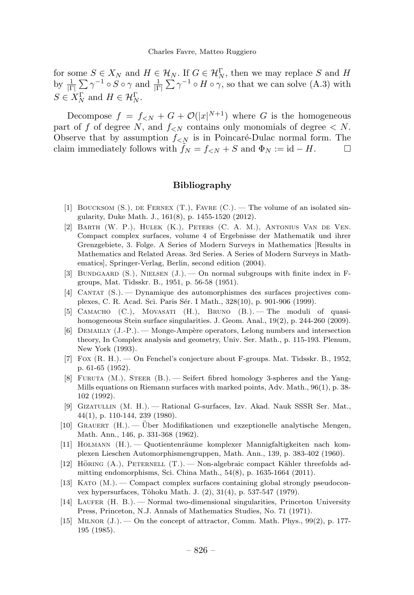for some  $S \in X_N$  and  $H \in \mathcal{H}_N$ . If  $G \in \mathcal{H}_N^{\Gamma}$ , then we may replace S and H by  $\frac{1}{|\Gamma|} \sum_{n=1}^{\infty} \gamma^{-1} \circ S \circ \gamma$  and  $\frac{1}{|\Gamma|} \sum_{n=1}^{\infty} \gamma^{-1} \circ H \circ \gamma$ , so that we can solve (A.3) with  $S \in X_N^{\Gamma}$  and  $H \in \mathcal{H}_N^{\Gamma}$ .

Decompose  $f = f_{\leq N} + G + \mathcal{O}(|x|^{N+1})$  where G is the homogeneous part of f of degree N, and  $f_{\leq N}$  contains only monomials of degree  $\leq N$ . Observe that by assumption  $f_{\leq N}$  is in Poincaré-Dulac normal form. The claim immediately follows with  $f_N = f_{\leq N} + S$  and  $\Phi_N := \mathrm{id} - H$ .

#### Bibliography

- [1] BOUCKSOM  $(S<sub>1</sub>)$ , DE FERNEX  $(T<sub>1</sub>)$ , FAVRE  $(C<sub>1</sub>)$ . The volume of an isolated singularity, Duke Math. J., 161(8), p. 1455-1520 (2012).
- [2] Barth (W. P.), Hulek (K.), Peters (C. A. M.), Antonius Van de Ven. Compact complex surfaces, volume 4 of Ergebnisse der Mathematik und ihrer Grenzgebiete, 3. Folge. A Series of Modern Surveys in Mathematics [Results in Mathematics and Related Areas. 3rd Series. A Series of Modern Surveys in Mathematics], Springer-Verlag, Berlin, second edition (2004).
- [3] BUNDGAARD  $(S<sub>1</sub>)$ , NIELSEN  $(J<sub>1</sub>)$ .  $\rightarrow$  On normal subgroups with finite index in Fgroups, Mat. Tidsskr. B., 1951, p. 56-58 (1951).
- [4] Cantat (S.). —Dynamique des automorphismes des surfaces projectives complexes, C. R. Acad. Sci. Paris Sér. I Math., 328(10), p. 901-906 (1999).
- [5] Camacho (C.), Movasati (H.), Bruno (B.). —The moduli of quasihomogeneous Stein surface singularities. J. Geom. Anal., 19(2), p. 244-260 (2009).
- [6] DEMAILLY  $(J.-P.)$ . Monge-Ampère operators, Lelong numbers and intersection theory, In Complex analysis and geometry, Univ. Ser. Math., p. 115-193. Plenum, New York (1993).
- [7] Fox (R. H.). —On Fenchel's conjecture about F-groups. Mat. Tidsskr. B., 1952, p. 61-65 (1952).
- [8] FURUTA  $(M.)$ , STEER  $(B.)$ . Seifert fibred homology 3-spheres and the Yang-Mills equations on Riemann surfaces with marked points, Adv. Math., 96(1), p. 38- 102 (1992).
- [9] Gizatullin (M. H.). —Rational G-surfaces, Izv. Akad. Nauk SSSR Ser. Mat., 44(1), p. 110-144, 239 (1980).
- [10] Grauert (H.). Uber Modifikationen und exzeptionelle analytische Mengen, ¨ Math. Ann., 146, p. 331-368 (1962).
- [11] HOLMANN (H.). Quotientenräume komplexer Mannigfaltigkeiten nach komplexen Lieschen Automorphismengruppen, Math. Ann., 139, p. 383-402 (1960).
- [12] HÖRING  $(A)$ , PETERNELL  $(T)$ .  $\longrightarrow$  Non-algebraic compact Kähler threefolds admitting endomorphisms, Sci. China Math., 54(8), p. 1635-1664 (2011).
- [13] Kato (M.). —Compact complex surfaces containing global strongly pseudoconvex hypersurfaces, Tôhoku Math. J. (2), 31(4), p. 537-547 (1979).
- [14] LAUFER (H. B.). Normal two-dimensional singularities, Princeton University Press, Princeton, N.J. Annals of Mathematics Studies, No. 71 (1971).
- [15] MILNOR  $(J.)$  On the concept of attractor, Comm. Math. Phys., 99 $(2)$ , p. 177-195 (1985).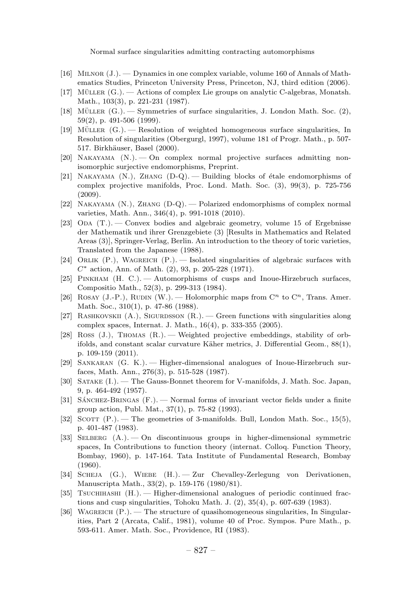- [16] Milnor (J.). —Dynamics in one complex variable, volume 160 of Annals of Mathematics Studies, Princeton University Press, Princeton, NJ, third edition (2006).
- [17] MÜLLER  $(G.)$  Actions of complex Lie groups on analytic C-algebras, Monatsh. Math., 103(3), p. 221-231 (1987).
- [18] MÜLLER  $(G.)$  Symmetries of surface singularities, J. London Math. Soc.  $(2)$ , 59(2), p. 491-506 (1999).
- $[19]$  MÜLLER  $(G.)$  Resolution of weighted homogeneous surface singularities, In Resolution of singularities (Obergurgl, 1997), volume 181 of Progr. Math., p. 507- 517. Birkhäuser, Basel (2000).
- [20] Nakayama (N.). —On complex normal projective surfaces admitting nonisomorphic surjective endomorphisms, Preprint.
- [21] NAKAYAMA  $(N.)$ , ZHANG  $(D-Q)$ . Building blocks of étale endomorphisms of complex projective manifolds, Proc. Lond. Math. Soc. (3), 99(3), p. 725-756 (2009).
- [22] Nakayama (N.), Zhang (D-Q). —Polarized endomorphisms of complex normal varieties, Math. Ann., 346(4), p. 991-1018 (2010).
- [23] ODA  $(T.)$ . Convex bodies and algebraic geometry, volume 15 of Ergebnisse der Mathematik und ihrer Grenzgebiete (3) [Results in Mathematics and Related Areas (3)], Springer-Verlag, Berlin. An introduction to the theory of toric varieties, Translated from the Japanese (1988).
- [24] ORLIK (P.), WAGREICH (P.). Isolated singularities of algebraic surfaces with  $C^*$  action, Ann. of Math. (2), 93, p. 205-228 (1971).
- [25] Pinkham (H. C.). —Automorphisms of cusps and Inoue-Hirzebruch surfaces, Compositio Math., 52(3), p. 299-313 (1984).
- [26] ROSAY (J.-P.), RUDIN (W.). Holomorphic maps from  $\mathbb{C}^n$  to  $\mathbb{C}^n$ , Trans. Amer. Math. Soc., 310(1), p. 47-86 (1988).
- [27] RASHKOVSKII  $(A.)$ , SIGURDSSON  $(R.)$  Green functions with singularities along complex spaces, Internat. J. Math., 16(4), p. 333-355 (2005).
- [28] Ross (J.), Thomas (R.). —Weighted projective embeddings, stability of orbifolds, and constant scalar curvature Käher metrics, J. Differential Geom., 88(1), p. 109-159 (2011).
- [29] Sankaran (G. K.). —Higher-dimensional analogues of Inoue-Hirzebruch surfaces, Math. Ann., 276(3), p. 515-528 (1987).
- [30] Satake (I.). —The Gauss-Bonnet theorem for V-manifolds, J. Math. Soc. Japan, 9, p. 464-492 (1957).
- [31] SÁNCHEZ-BRINGAS  $(F.)$   $\longrightarrow$  Normal forms of invariant vector fields under a finite group action, Publ. Mat., 37(1), p. 75-82 (1993).
- [32] SCOTT  $(P_{\cdot})$ . The geometries of 3-manifolds. Bull, London Math. Soc., 15(5), p. 401-487 (1983).
- [33] Selberg (A.). —On discontinuous groups in higher-dimensional symmetric spaces, In Contributions to function theory (internat. Colloq. Function Theory, Bombay, 1960), p. 147-164. Tata Institute of Fundamental Research, Bombay (1960).
- [34] Scheja (G.), Wiebe (H.). —Zur Chevalley-Zerlegung von Derivationen, Manuscripta Math., 33(2), p. 159-176 (1980/81).
- [35] Tsuchihashi (H.). —Higher-dimensional analogues of periodic continued fractions and cusp singularities, Tohoku Math. J. (2), 35(4), p. 607-639 (1983).
- [36] WAGREICH  $(P_1)$ . The structure of quasihomogeneous singularities, In Singularities, Part 2 (Arcata, Calif., 1981), volume 40 of Proc. Sympos. Pure Math., p. 593-611. Amer. Math. Soc., Providence, RI (1983).